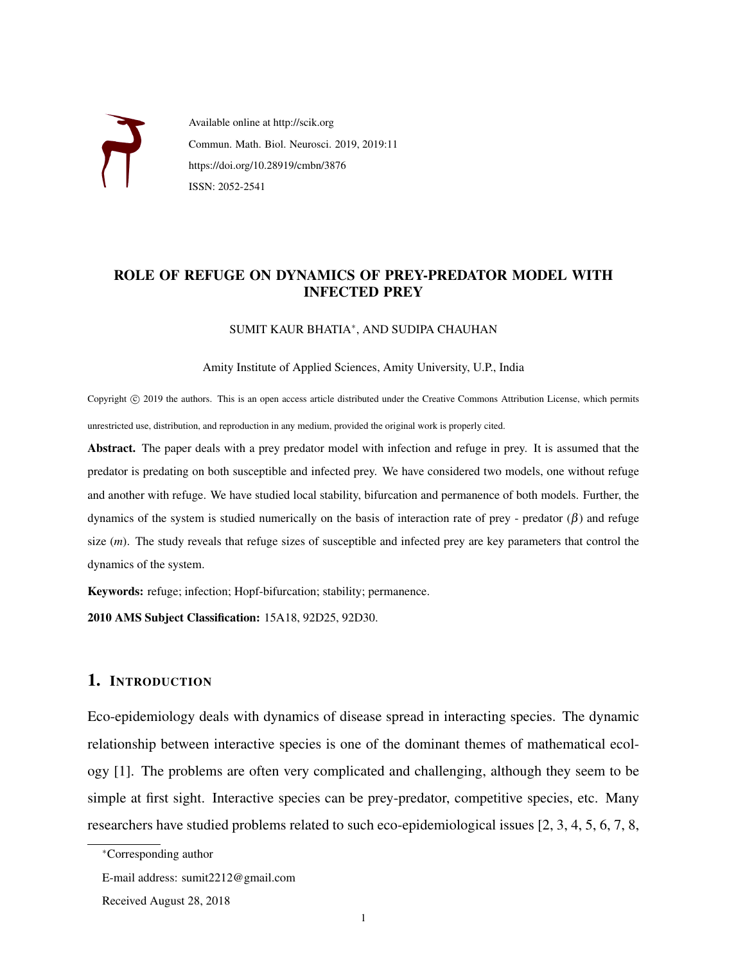

Available online at http://scik.org Commun. Math. Biol. Neurosci. 2019, 2019:11 https://doi.org/10.28919/cmbn/3876 ISSN: 2052-2541

# ROLE OF REFUGE ON DYNAMICS OF PREY-PREDATOR MODEL WITH INFECTED PREY

### SUMIT KAUR BHATIA<sup>∗</sup> , AND SUDIPA CHAUHAN

Amity Institute of Applied Sciences, Amity University, U.P., India

Copyright ( $\degree$ ) 2019 the authors. This is an open access article distributed under the Creative Commons Attribution License, which permits unrestricted use, distribution, and reproduction in any medium, provided the original work is properly cited.

Abstract. The paper deals with a prey predator model with infection and refuge in prey. It is assumed that the predator is predating on both susceptible and infected prey. We have considered two models, one without refuge and another with refuge. We have studied local stability, bifurcation and permanence of both models. Further, the dynamics of the system is studied numerically on the basis of interaction rate of prey - predator (β) and refuge size (*m*). The study reveals that refuge sizes of susceptible and infected prey are key parameters that control the dynamics of the system.

Keywords: refuge; infection; Hopf-bifurcation; stability; permanence.

2010 AMS Subject Classification: 15A18, 92D25, 92D30.

# 1. INTRODUCTION

Eco-epidemiology deals with dynamics of disease spread in interacting species. The dynamic relationship between interactive species is one of the dominant themes of mathematical ecology [1]. The problems are often very complicated and challenging, although they seem to be simple at first sight. Interactive species can be prey-predator, competitive species, etc. Many researchers have studied problems related to such eco-epidemiological issues [2, 3, 4, 5, 6, 7, 8,

<sup>∗</sup>Corresponding author

E-mail address: sumit2212@gmail.com

Received August 28, 2018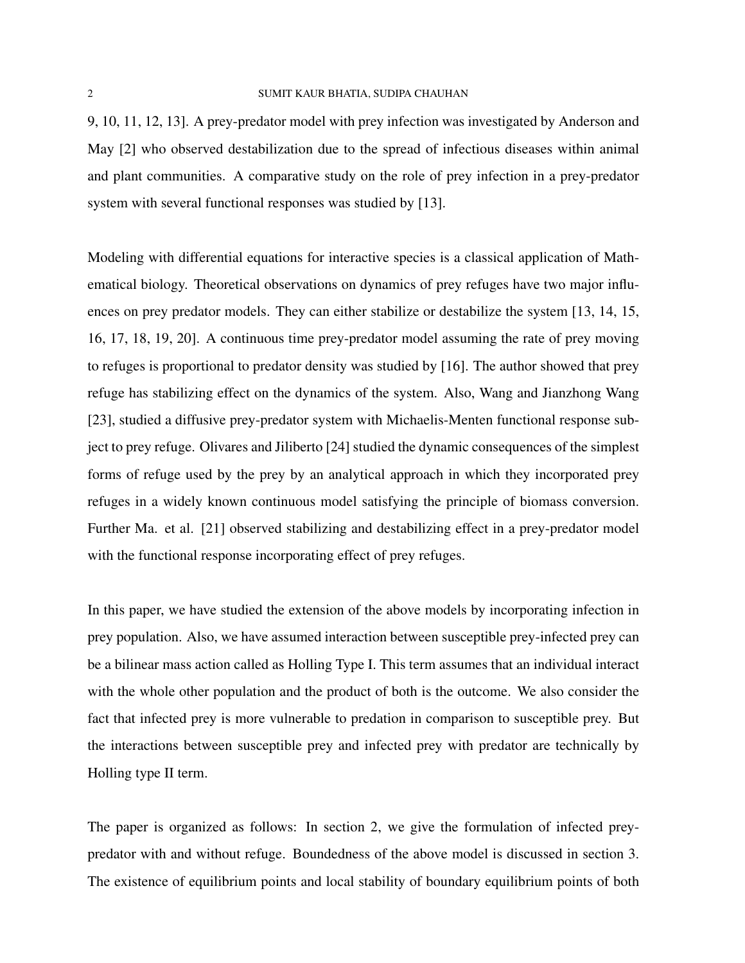9, 10, 11, 12, 13]. A prey-predator model with prey infection was investigated by Anderson and May [2] who observed destabilization due to the spread of infectious diseases within animal and plant communities. A comparative study on the role of prey infection in a prey-predator system with several functional responses was studied by [13].

Modeling with differential equations for interactive species is a classical application of Mathematical biology. Theoretical observations on dynamics of prey refuges have two major influences on prey predator models. They can either stabilize or destabilize the system [13, 14, 15, 16, 17, 18, 19, 20]. A continuous time prey-predator model assuming the rate of prey moving to refuges is proportional to predator density was studied by [16]. The author showed that prey refuge has stabilizing effect on the dynamics of the system. Also, Wang and Jianzhong Wang [23], studied a diffusive prey-predator system with Michaelis-Menten functional response subject to prey refuge. Olivares and Jiliberto [24] studied the dynamic consequences of the simplest forms of refuge used by the prey by an analytical approach in which they incorporated prey refuges in a widely known continuous model satisfying the principle of biomass conversion. Further Ma. et al. [21] observed stabilizing and destabilizing effect in a prey-predator model with the functional response incorporating effect of prey refuges.

In this paper, we have studied the extension of the above models by incorporating infection in prey population. Also, we have assumed interaction between susceptible prey-infected prey can be a bilinear mass action called as Holling Type I. This term assumes that an individual interact with the whole other population and the product of both is the outcome. We also consider the fact that infected prey is more vulnerable to predation in comparison to susceptible prey. But the interactions between susceptible prey and infected prey with predator are technically by Holling type II term.

The paper is organized as follows: In section 2, we give the formulation of infected preypredator with and without refuge. Boundedness of the above model is discussed in section 3. The existence of equilibrium points and local stability of boundary equilibrium points of both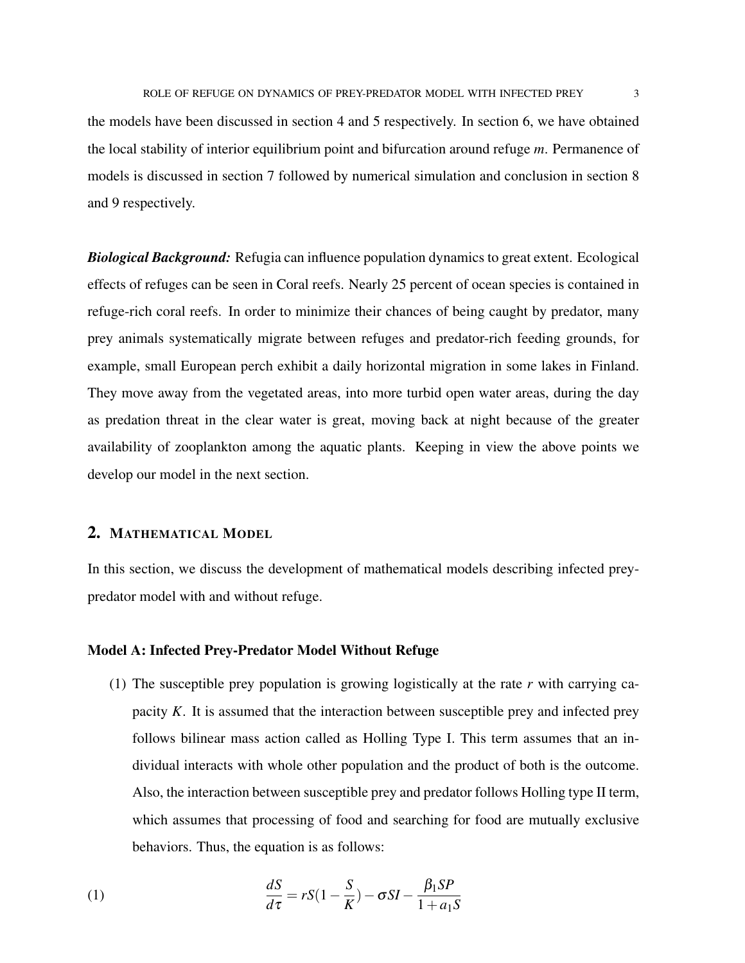the models have been discussed in section 4 and 5 respectively. In section 6, we have obtained the local stability of interior equilibrium point and bifurcation around refuge *m*. Permanence of models is discussed in section 7 followed by numerical simulation and conclusion in section 8 and 9 respectively.

*Biological Background:* Refugia can influence population dynamics to great extent. Ecological effects of refuges can be seen in Coral reefs. Nearly 25 percent of ocean species is contained in refuge-rich coral reefs. In order to minimize their chances of being caught by predator, many prey animals systematically migrate between refuges and predator-rich feeding grounds, for example, small European perch exhibit a daily horizontal migration in some lakes in Finland. They move away from the vegetated areas, into more turbid open water areas, during the day as predation threat in the clear water is great, moving back at night because of the greater availability of zooplankton among the aquatic plants. Keeping in view the above points we develop our model in the next section.

### 2. MATHEMATICAL MODEL

In this section, we discuss the development of mathematical models describing infected preypredator model with and without refuge.

### Model A: Infected Prey-Predator Model Without Refuge

(1) The susceptible prey population is growing logistically at the rate *r* with carrying capacity *K*. It is assumed that the interaction between susceptible prey and infected prey follows bilinear mass action called as Holling Type I. This term assumes that an individual interacts with whole other population and the product of both is the outcome. Also, the interaction between susceptible prey and predator follows Holling type II term, which assumes that processing of food and searching for food are mutually exclusive behaviors. Thus, the equation is as follows:

(1) 
$$
\frac{dS}{d\tau} = rS(1 - \frac{S}{K}) - \sigma SI - \frac{\beta_1 SP}{1 + a_1 S}
$$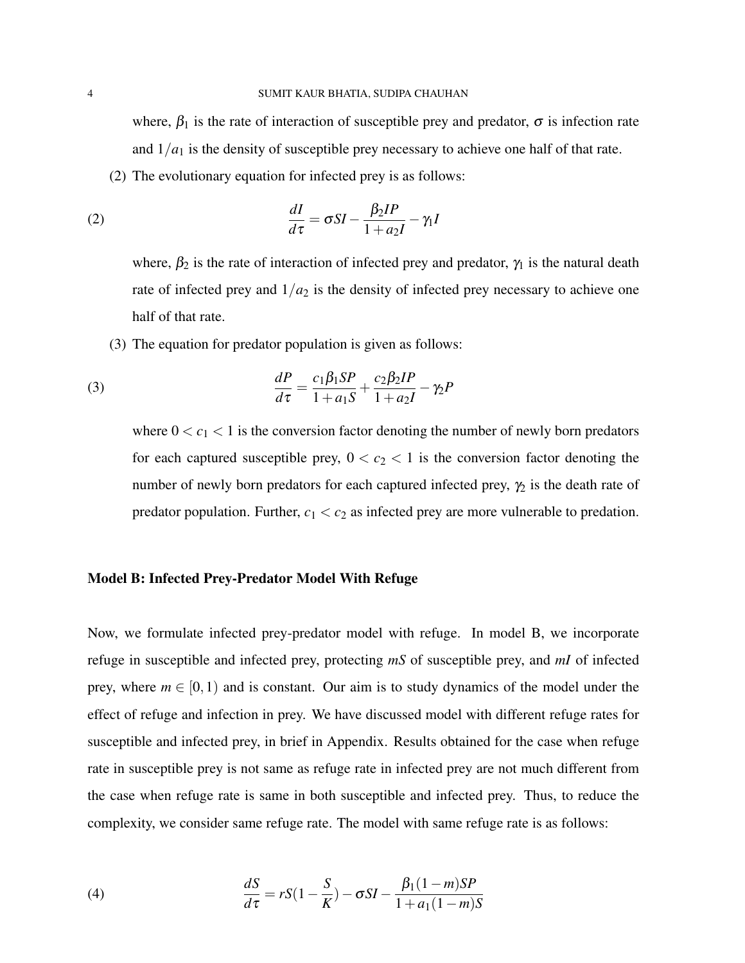where,  $\beta_1$  is the rate of interaction of susceptible prey and predator,  $\sigma$  is infection rate and  $1/a<sub>1</sub>$  is the density of susceptible prey necessary to achieve one half of that rate.

(2) The evolutionary equation for infected prey is as follows:

(2) 
$$
\frac{dI}{d\tau} = \sigma SI - \frac{\beta_2 IP}{1 + a_2 I} - \gamma_1 I
$$

where,  $\beta_2$  is the rate of interaction of infected prey and predator,  $\gamma_1$  is the natural death rate of infected prey and  $1/a_2$  is the density of infected prey necessary to achieve one half of that rate.

(3) The equation for predator population is given as follows:

(3) 
$$
\frac{dP}{d\tau} = \frac{c_1 \beta_1 SP}{1 + a_1 S} + \frac{c_2 \beta_2 IP}{1 + a_2 I} - \gamma_2 P
$$

where  $0 < c_1 < 1$  is the conversion factor denoting the number of newly born predators for each captured susceptible prey,  $0 < c_2 < 1$  is the conversion factor denoting the number of newly born predators for each captured infected prey,  $\gamma_2$  is the death rate of predator population. Further,  $c_1 < c_2$  as infected prey are more vulnerable to predation.

### Model B: Infected Prey-Predator Model With Refuge

Now, we formulate infected prey-predator model with refuge. In model B, we incorporate refuge in susceptible and infected prey, protecting *mS* of susceptible prey, and *mI* of infected prey, where  $m \in [0,1)$  and is constant. Our aim is to study dynamics of the model under the effect of refuge and infection in prey. We have discussed model with different refuge rates for susceptible and infected prey, in brief in Appendix. Results obtained for the case when refuge rate in susceptible prey is not same as refuge rate in infected prey are not much different from the case when refuge rate is same in both susceptible and infected prey. Thus, to reduce the complexity, we consider same refuge rate. The model with same refuge rate is as follows:

(4) 
$$
\frac{dS}{d\tau} = rS(1 - \frac{S}{K}) - \sigma SI - \frac{\beta_1(1 - m)SP}{1 + a_1(1 - m)S}
$$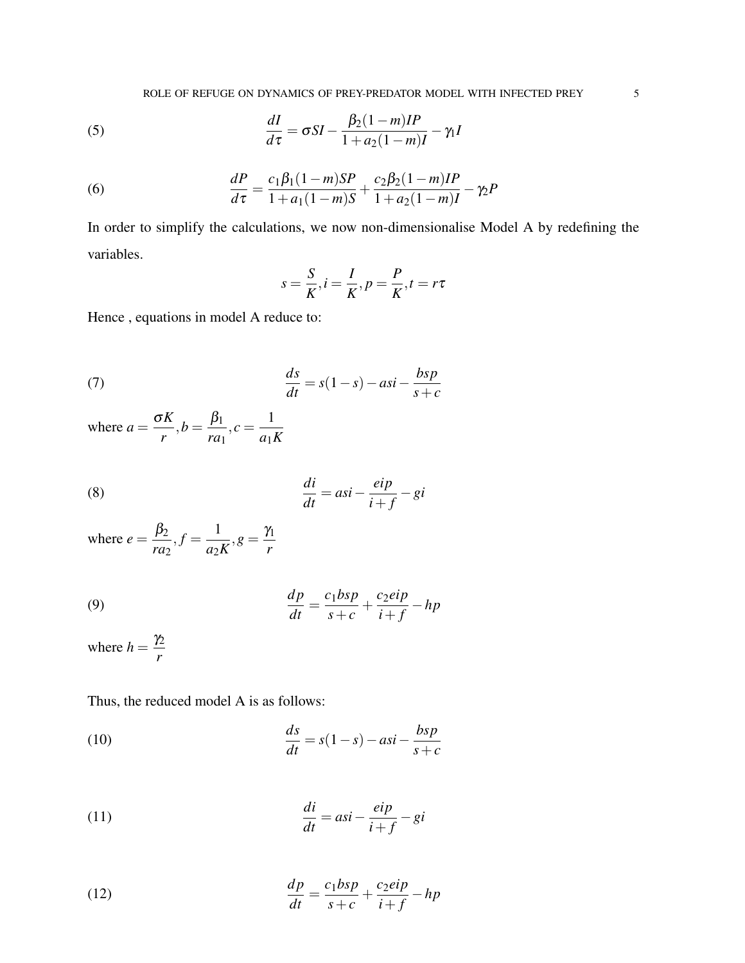(5) 
$$
\frac{dI}{d\tau} = \sigma SI - \frac{\beta_2 (1 - m)IP}{1 + a_2 (1 - m)I} - \gamma_1 I
$$

(6) 
$$
\frac{dP}{d\tau} = \frac{c_1\beta_1(1-m)SP}{1+a_1(1-m)S} + \frac{c_2\beta_2(1-m)IP}{1+a_2(1-m)I} - \gamma_2 P
$$

In order to simplify the calculations, we now non-dimensionalise Model A by redefining the variables.

$$
s = \frac{S}{K}, i = \frac{I}{K}, p = \frac{P}{K}, t = r\tau
$$

Hence , equations in model A reduce to:

(7) 
$$
\frac{ds}{dt} = s(1-s) - asi - \frac{bsp}{s+c}
$$

where  $a = \frac{\sigma K}{\sigma}$ *r*  $,b=\frac{\beta_1}{\beta_2}$ *ra*<sup>1</sup>  $,c = \frac{1}{\sqrt{2}}$ *a*1*K*

(8) 
$$
\frac{di}{dt} = asi - \frac{eip}{i+f} - gi
$$

where  $e = \frac{\beta_2}{\beta_1}$ *ra*<sup>2</sup>  $, f = \frac{1}{1}$ *a*2*K*  $,g = \frac{\gamma_1}{\gamma_2}$ *r*

(9) 
$$
\frac{dp}{dt} = \frac{c_1 b s p}{s + c} + \frac{c_2 e i p}{i + f} - h p
$$

where  $h = \frac{\gamma_2}{\gamma_1}$ *r*

Thus, the reduced model A is as follows:

(10) 
$$
\frac{ds}{dt} = s(1-s) - asi - \frac{bsp}{s+c}
$$

(11) 
$$
\frac{di}{dt} = asi - \frac{eip}{i+f} - gi
$$

(12) 
$$
\frac{dp}{dt} = \frac{c_1 b s p}{s + c} + \frac{c_2 e i p}{i + f} - h p
$$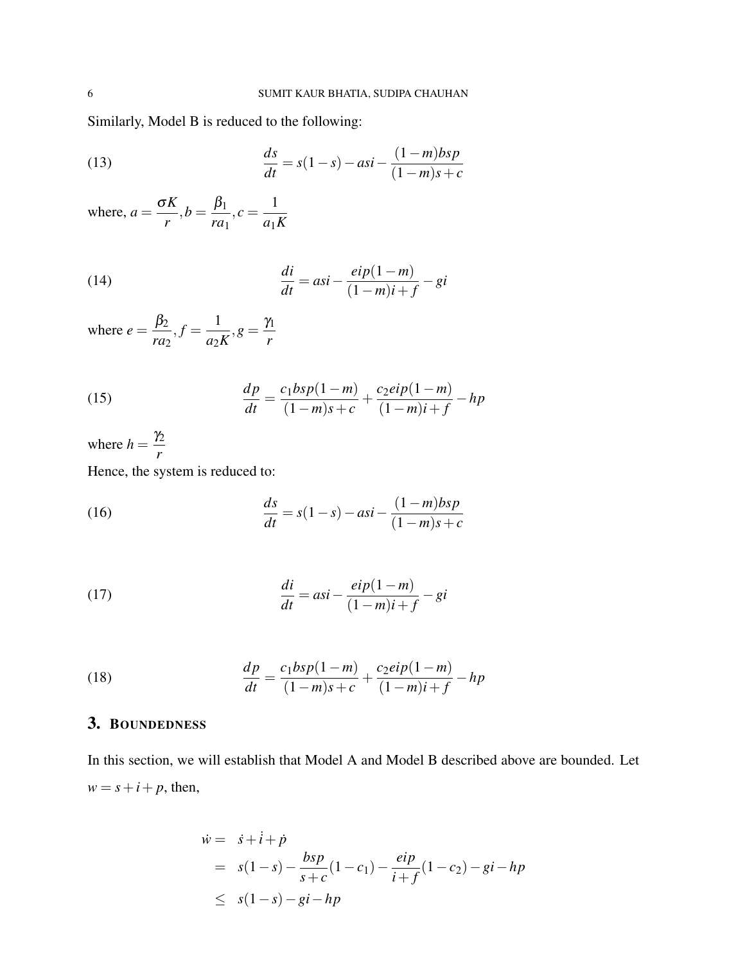Similarly, Model B is reduced to the following:

(13) 
$$
\frac{ds}{dt} = s(1-s) - asi - \frac{(1-m)bsp}{(1-m)s+c}
$$

where,  $a = \frac{\sigma K}{\sigma}$ *r*  $,b=\frac{\beta_1}{\beta_2}$ *ra*<sup>1</sup>  $,c = \frac{1}{\sqrt{2}}$ *a*1*K*

(14) 
$$
\frac{di}{dt} = asi - \frac{eip(1-m)}{(1-m)i+f} - gi
$$

where  $e = \frac{\beta_2}{\beta_1}$ *ra*<sup>2</sup>  $, f = \frac{1}{1}$ *a*2*K*  $,g = \frac{\gamma_1}{\gamma_2}$ *r*

(15) 
$$
\frac{dp}{dt} = \frac{c_1 b s p (1 - m)}{(1 - m) s + c} + \frac{c_2 e i p (1 - m)}{(1 - m) i + f} - h p
$$

where  $h = \frac{\gamma_2}{\gamma_1}$ *r* Hence, the system is reduced to:

(16) 
$$
\frac{ds}{dt} = s(1-s) - asi - \frac{(1-m)bsp}{(1-m)s+c}
$$

(17) 
$$
\frac{di}{dt} = asi - \frac{eip(1-m)}{(1-m)i+f} - gi
$$

(18) 
$$
\frac{dp}{dt} = \frac{c_1 b s p (1 - m)}{(1 - m) s + c} + \frac{c_2 e i p (1 - m)}{(1 - m) i + f} - h p
$$

# 3. BOUNDEDNESS

In this section, we will establish that Model A and Model B described above are bounded. Let  $w = s + i + p$ , then,

$$
\dot{w} = \dot{s} + \dot{i} + \dot{p}
$$
  
=  $s(1-s) - \frac{bsp}{s+c}(1-c_1) - \frac{eip}{i+f}(1-c_2) - gi - hp$   
 $\leq s(1-s) - gi - hp$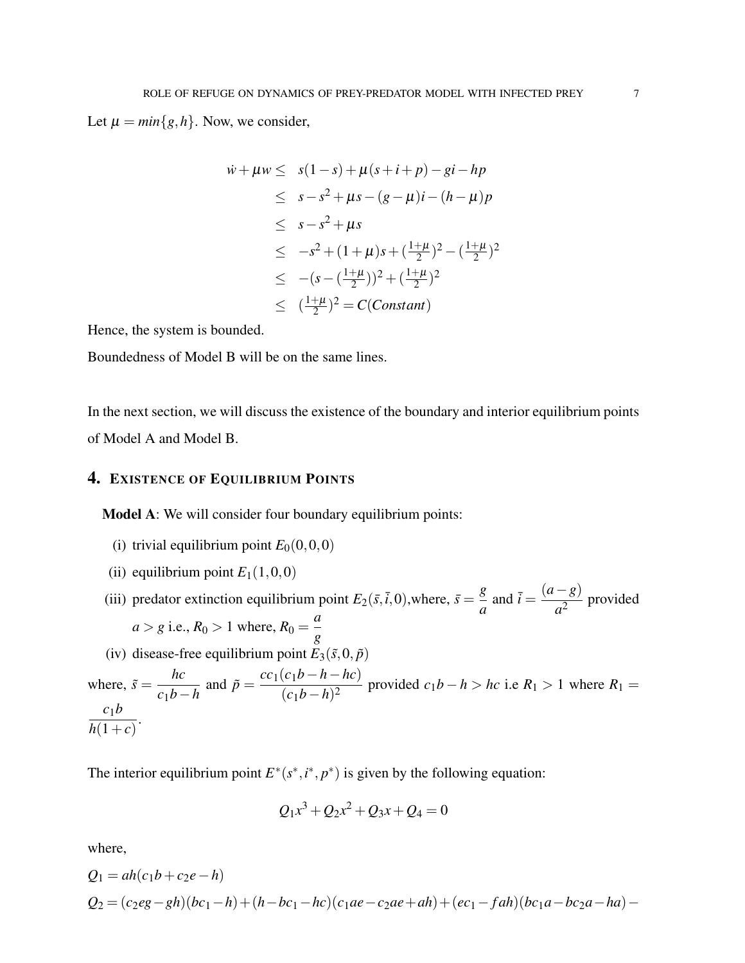Let  $\mu = min\{g, h\}$ . Now, we consider,

$$
\dot{w} + \mu w \leq s(1-s) + \mu(s+i+p) - gi - hp
$$
\n
$$
\leq s - s^2 + \mu s - (g - \mu)i - (h - \mu)p
$$
\n
$$
\leq s - s^2 + \mu s
$$
\n
$$
\leq -s^2 + (1+\mu)s + (\frac{1+\mu}{2})^2 - (\frac{1+\mu}{2})^2
$$
\n
$$
\leq -(s - (\frac{1+\mu}{2}))^2 + (\frac{1+\mu}{2})^2
$$
\n
$$
\leq (\frac{1+\mu}{2})^2 = C(Constant)
$$

Hence, the system is bounded.

Boundedness of Model B will be on the same lines.

In the next section, we will discuss the existence of the boundary and interior equilibrium points of Model A and Model B.

# 4. EXISTENCE OF EQUILIBRIUM POINTS

Model A: We will consider four boundary equilibrium points:

- (i) trivial equilibrium point  $E_0(0,0,0)$
- (ii) equilibrium point  $E_1(1,0,0)$

(iii) predator extinction equilibrium point  $E_2(\bar{s}, \bar{i}, 0)$ , where,  $\bar{s} = \frac{g}{a}$  $\frac{g}{a}$  and  $\bar{i} = \frac{(a-g)}{a^2}$  $\frac{\delta}{a^2}$  provided  $a > g$  i.e.,  $R_0 > 1$  where,  $R_0 =$ *a g* (iv) disease-free equilibrium point  $E_3(\tilde{s},0,\tilde{p})$ *hc* and  $\tilde{p} = \frac{cc_1(c_1b - h - hc)}{(1 - h)c^2}$ 

where,  $\tilde{s} =$ *c*1*b*−*h*  $\frac{(c_1b - h - hc)}{(c_1b - h)^2}$  provided  $c_1b - h > hc$  i.e  $R_1 > 1$  where  $R_1 =$ *c*1*b*  $\frac{c_1c}{h(1+c)}$ 

The interior equilibrium point  $E^*(s^*, i^*, p^*)$  is given by the following equation:

$$
Q_1x^3 + Q_2x^2 + Q_3x + Q_4 = 0
$$

where,

$$
Q_1 = ah(c_1b + c_2e - h)
$$
  
\n
$$
Q_2 = (c_2eg - gh)(bc_1 - h) + (h - bc_1 - hc)(c_1ae - c_2ae + ah) + (ec_1 - fah)(bc_1a - bc_2a - ha) -
$$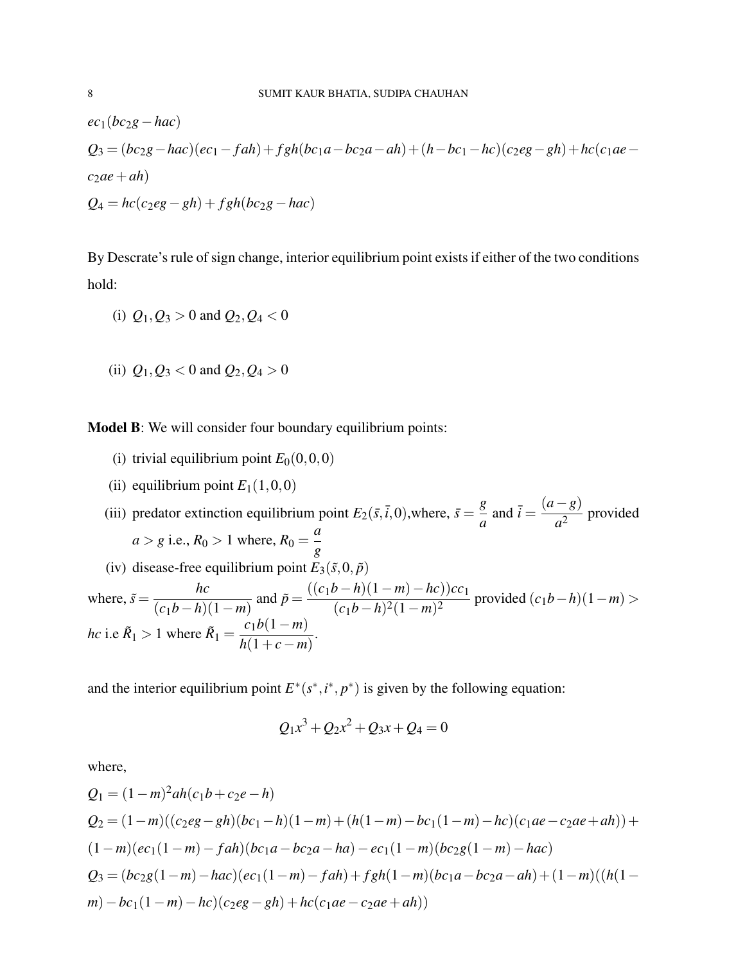$$
ec1(bc2g - hac)
$$
  
\n
$$
Q3 = (bc2g - hac)(ec1 - fah) + fgh(bc1a - bc2a - ah) + (h - bc1 - hc)(c2eg - gh) + hc(c1ae - c2ae + ah)
$$
  
\n
$$
Q4 = hc(c2eg - gh) + fgh(bc2g - hac)
$$

By Descrate's rule of sign change, interior equilibrium point exists if either of the two conditions hold:

(i) 
$$
Q_1, Q_3 > 0
$$
 and  $Q_2, Q_4 < 0$ 

(ii)  $Q_1, Q_3 < 0$  and  $Q_2, Q_4 > 0$ 

Model B: We will consider four boundary equilibrium points:

- (i) trivial equilibrium point  $E_0(0,0,0)$
- (ii) equilibrium point  $E_1(1,0,0)$

(iii) predator extinction equilibrium point  $E_2(\bar{s}, \bar{t}, 0)$ , where,  $\bar{s} = \frac{g}{a}$  $\frac{g}{a}$  and  $\bar{i} = \frac{(a-g)}{a^2}$  $\frac{\delta}{a^2}$  provided  $a > g$  i.e.,  $R_0 > 1$  where,  $R_0 =$ *a g* (iv) disease-free equilibrium point  $E_3(\tilde{s},0,\tilde{p})$ where,  $\tilde{s} =$ *hc*  $(c_1b-h)(1-m)$ and  $\tilde{p} = \frac{((c_1b - h)(1 - m) - hc)(c_1)}{(1 - h)(c_1 + h)(c_2 + h)}$  $\frac{(c_1b-h)^2(1-m)^2}{(c_1b-h)^2(1-m)^2}$  provided  $(c_1b-h)(1-m)$ *hc* i.e  $\tilde{R}_1 > 1$  where  $\tilde{R}_1 =$ *c*1*b*(1−*m*)  $\frac{c_1c_2+m_1}{h(1+c-m)}$ .

and the interior equilibrium point  $E^*(s^*, i^*, p^*)$  is given by the following equation:

$$
Q_1x^3 + Q_2x^2 + Q_3x + Q_4 = 0
$$

where,

$$
Q_1 = (1 - m)^2 ah(c_1b + c_2e - h)
$$
  
\n
$$
Q_2 = (1 - m)((c_2eg - gh)(bc_1 - h)(1 - m) + (h(1 - m) - bc_1(1 - m) - hc)(c_1ae - c_2ae + ah)) +
$$
  
\n
$$
(1 - m)(ec_1(1 - m) - fah)(bc_1a - bc_2a - ha) - ec_1(1 - m)(bc_2g(1 - m) - hac)
$$
  
\n
$$
Q_3 = (bc_2g(1 - m) - hac)(ec_1(1 - m) - fah) + fgh(1 - m)(bc_1a - bc_2a - ah) + (1 - m)((h(1 - m) - bc_1(1 - m) - hc)(c_2eg - gh) + hc(c_1ae - c_2ae + ah))
$$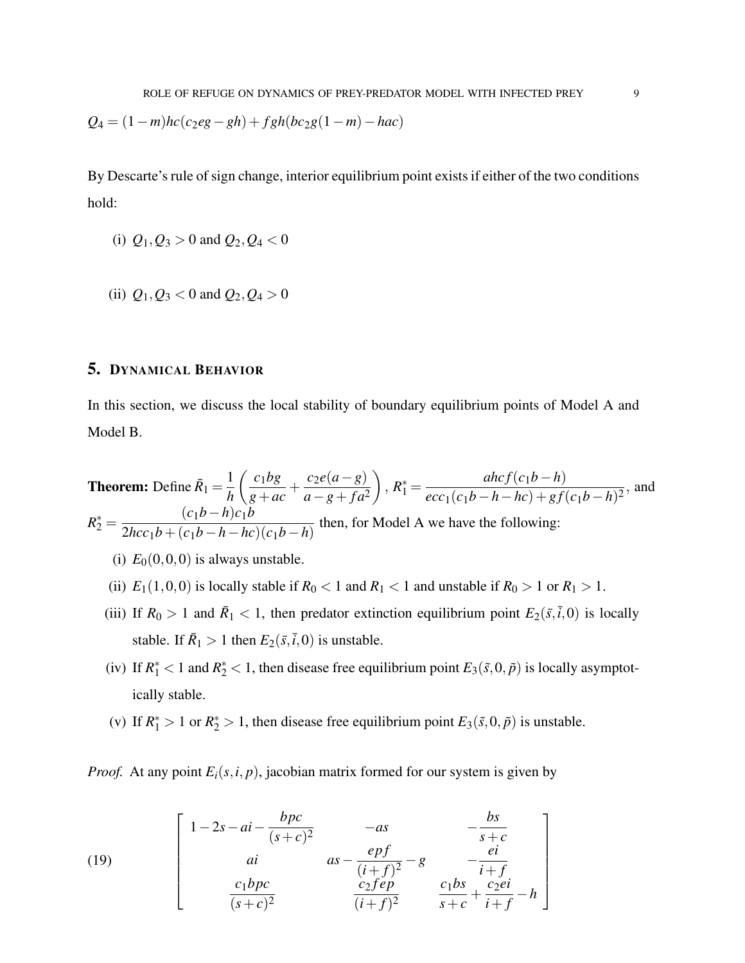$$
Q_4 = (1 - m)hc(c_2eg - gh) + fgh(bc_2g(1 - m) - hac)
$$

By Descarte's rule of sign change, interior equilibrium point exists if either of the two conditions hold:

(i) 
$$
Q_1, Q_3 > 0
$$
 and  $Q_2, Q_4 < 0$ 

(ii)  $Q_1, Q_3 < 0$  and  $Q_2, Q_4 > 0$ 

# 5. DYNAMICAL BEHAVIOR

In this section, we discuss the local stability of boundary equilibrium points of Model A and Model B.

**Theorem:** Define 
$$
\bar{R}_1 = \frac{1}{h} \left( \frac{c_1 bg}{g + ac} + \frac{c_2 e(a - g)}{a - g + fa^2} \right)
$$
,  $R_1^* = \frac{ahcf(c_1 b - h)}{ecc_1(c_1 b - h - hc) + gf(c_1 b - h)^2}$ , and  $R_2^* = \frac{(c_1 b - h)c_1 b}{2hcc_1 b + (c_1 b - h - hc)(c_1 b - h)}$  then, for Model A we have the following:

- (i)  $E_0(0,0,0)$  is always unstable.
- (ii)  $E_1(1,0,0)$  is locally stable if  $R_0 < 1$  and  $R_1 < 1$  and unstable if  $R_0 > 1$  or  $R_1 > 1$ .
- (iii) If  $R_0 > 1$  and  $\bar{R}_1 < 1$ , then predator extinction equilibrium point  $E_2(\bar{s}, \bar{t}, 0)$  is locally stable. If  $\bar{R}_1 > 1$  then  $E_2(\bar{s}, \bar{i}, 0)$  is unstable.
- (iv) If  $R_1^*$  < 1 and  $R_2^*$  < 1, then disease free equilibrium point  $E_3(\tilde{s},0,\tilde{p})$  is locally asymptotically stable.
- (v) If  $R_1^* > 1$  or  $R_2^* > 1$ , then disease free equilibrium point  $E_3(\tilde{s},0,\tilde{p})$  is unstable.

*Proof.* At any point  $E_i(s, i, p)$ , jacobian matrix formed for our system is given by

(19) 
$$
\begin{bmatrix}\n1-2s-ai-\frac{bpc}{(s+c)^2} & -as & -\frac{bs}{s+c} \\
ai & as-\frac{epf}{(i+f)^2}-g & -\frac{ei}{i+f} \\
\frac{c_1bpc}{(s+c)^2} & \frac{c_2fep}{(i+f)^2} & \frac{c_1bs}{s+c}+\frac{c_2ei}{i+f}-h\n\end{bmatrix}
$$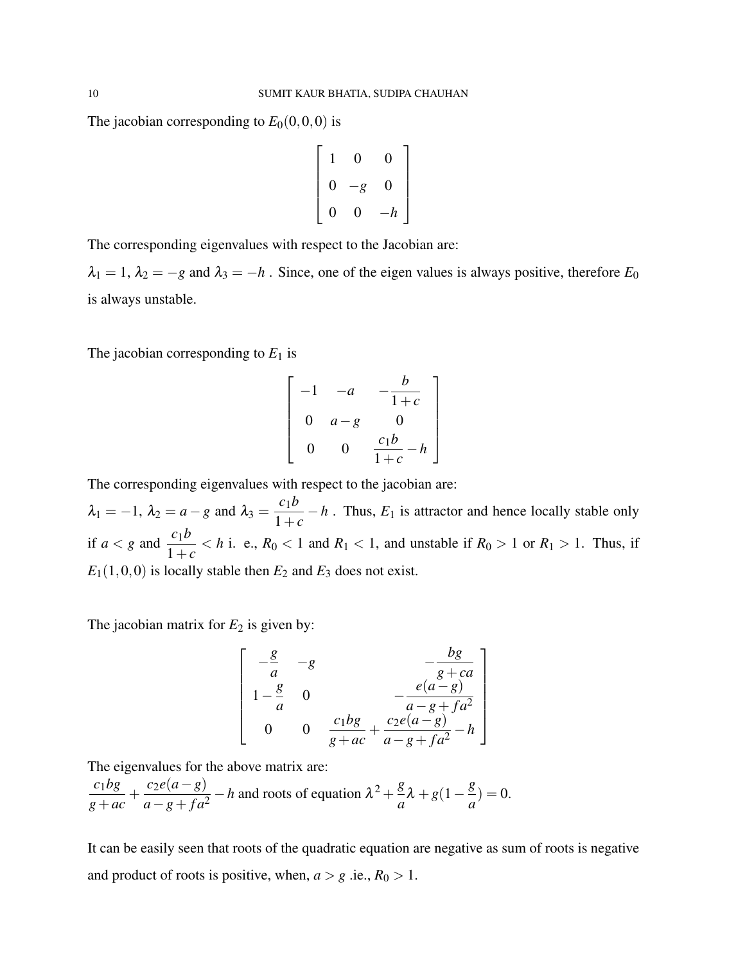The jacobian corresponding to  $E_0(0,0,0)$  is

$$
\begin{bmatrix} 1 & 0 & 0 \\ 0 & -g & 0 \\ 0 & 0 & -h \end{bmatrix}
$$

The corresponding eigenvalues with respect to the Jacobian are:

 $\lambda_1 = 1$ ,  $\lambda_2 = -g$  and  $\lambda_3 = -h$ . Since, one of the eigen values is always positive, therefore  $E_0$ is always unstable.

The jacobian corresponding to  $E_1$  is

$$
\begin{bmatrix} -1 & -a & -\frac{b}{1+c} \\ 0 & a-g & 0 \\ 0 & 0 & \frac{c_1b}{1+c} - h \end{bmatrix}
$$

The corresponding eigenvalues with respect to the jacobian are:  $\lambda_1 = -1, \ \lambda_2 = a - g \text{ and } \lambda_3 = \frac{c_1 b}{1 + a}$  $\frac{C_1C}{1+c} - h$ . Thus, *E*<sub>1</sub> is attractor and hence locally stable only if  $a < g$  and  $\frac{c_1 b}{1}$  $\frac{C_1D}{1+c}$  < *h* i. e.,  $R_0$  < 1 and  $R_1$  < 1, and unstable if  $R_0 > 1$  or  $R_1 > 1$ . Thus, if  $E_1(1,0,0)$  is locally stable then  $E_2$  and  $E_3$  does not exist.

The jacobian matrix for  $E_2$  is given by:

$$
\begin{bmatrix}\n-\frac{g}{a} & -g & -\frac{bg}{g+ca} \\
1-\frac{g}{a} & 0 & -\frac{e(a-g)}{a-g+fa^2} \\
0 & 0 & \frac{c_1bg}{g+ac} + \frac{c_2e(a-g)}{a-g+fa^2} - h\n\end{bmatrix}
$$

The eigenvalues for the above matrix are:

*c*1*bg g*+*ac*  $+\frac{c_2e(a-g)}{f}$  $\frac{c_2e(a-g)}{a-g+f a^2} - h$  and roots of equation  $\lambda^2 + \frac{g}{a}$  $\frac{g}{a}\lambda + g(1-\frac{g}{a})$  $\frac{\infty}{a}$ ) = 0.

It can be easily seen that roots of the quadratic equation are negative as sum of roots is negative and product of roots is positive, when,  $a > g$  .ie.,  $R_0 > 1$ .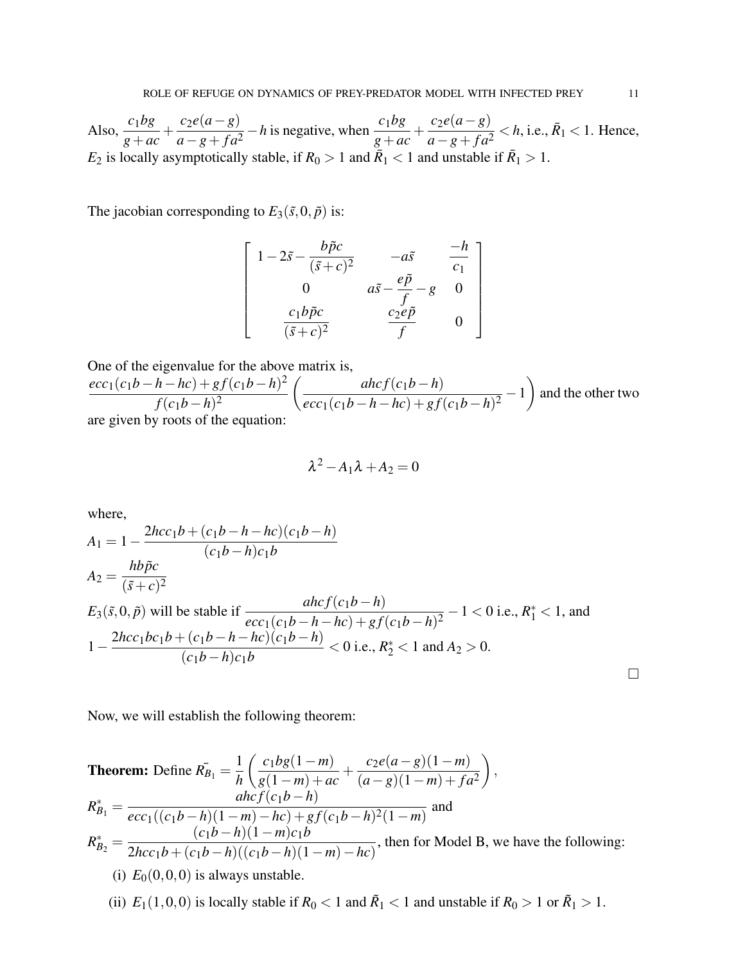Also,  $\frac{c_1bg}{g+ac}$  $+\frac{c_2e(a-g)}{f}$  $\frac{c_2e(a-g)}{a-g+f a^2} - h$  is negative, when  $\frac{c_1bg}{g+ac}$  $+\frac{c_2e(a-g)}{f}$  $\frac{c_2e(a - g)}{a - g + fa^2}$  < *h*, i.e.,  $\bar{R}_1$  < 1. Hence,  $E_2$  is locally asymptotically stable, if  $R_0 > 1$  and  $\overline{R}_1 < 1$  and unstable if  $\overline{R}_1 > 1$ .

The jacobian corresponding to  $E_3(\tilde{s},0,\tilde{p})$  is:

$$
\begin{bmatrix}\n1 - 2\tilde{s} - \frac{b\tilde{p}c}{(\tilde{s} + c)^2} & -a\tilde{s} & \frac{-h}{c_1} \\
0 & a\tilde{s} - \frac{e\tilde{p}}{f} - g & 0 \\
\frac{c_1b\tilde{p}c}{(\tilde{s} + c)^2} & \frac{c_2e\tilde{p}}{f} & 0\n\end{bmatrix}
$$

One of the eigenvalue for the above matrix is,  $ecc_1(c_1b-h-hc) + gf(c_1b-h)^2$ *f*(*c*<sub>1</sub>*b*−*h*)<sup>2</sup>  $\int$  *ahc*  $f(c_1b − h)$  $\frac{a_{n}c_{n}c_{1}(c_{1}b-h-hc)+gf(c_{1}b-h)^{2}}{g(c_{1}b-h)^{2}}-1$  $\setminus$ and the other two are given by roots of the equation:

$$
\lambda^2 - A_1 \lambda + A_2 = 0
$$

where,

$$
A_1 = 1 - \frac{2hc_1b + (c_1b - h - hc)(c_1b - h)}{(c_1b - h)c_1b}
$$
  
\n
$$
A_2 = \frac{hb\tilde{p}c}{(\tilde{s} + c)^2}
$$
  
\n
$$
E_3(\tilde{s}, 0, \tilde{p})
$$
 will be stable if 
$$
\frac{ahcf(c_1b - h)}{ecc_1(c_1b - h - hc) + gf(c_1b - h)^2} - 1 < 0
$$
 i.e.,  $R_1^* < 1$ , and 
$$
1 - \frac{2hc_1bc_1b + (c_1b - h - hc)(c_1b - h)}{(c_1b - h)c_1b} < 0
$$
 i.e.,  $R_2^* < 1$  and  $A_2 > 0$ .

Now, we will establish the following theorem:

**Theorem:** Define 
$$
\overline{R}_{B_1} = \frac{1}{h} \left( \frac{c_1 bg(1-m)}{g(1-m) + ac} + \frac{c_2 e(a-g)(1-m)}{(a-g)(1-m) + fa^2} \right)
$$
,  
\n
$$
R_{B_1}^* = \frac{ahcf(c_1b-h)}{ecc_1((c_1b-h)(1-m) - hc) + gf(c_1b-h)^2(1-m)}
$$
 and  
\n
$$
R_{B_2}^* = \frac{(c_1b-h)(1-m)c_1b}{2hcc_1b + (c_1b-h)((c_1b-h)(1-m) - hc)}
$$
, then for Model B, we have the following:  
\n(i)  $E_0(0,0,0)$  is always unstable.

(ii)  $E_1(1,0,0)$  is locally stable if  $R_0 < 1$  and  $\tilde{R}_1 < 1$  and unstable if  $R_0 > 1$  or  $\tilde{R}_1 > 1$ .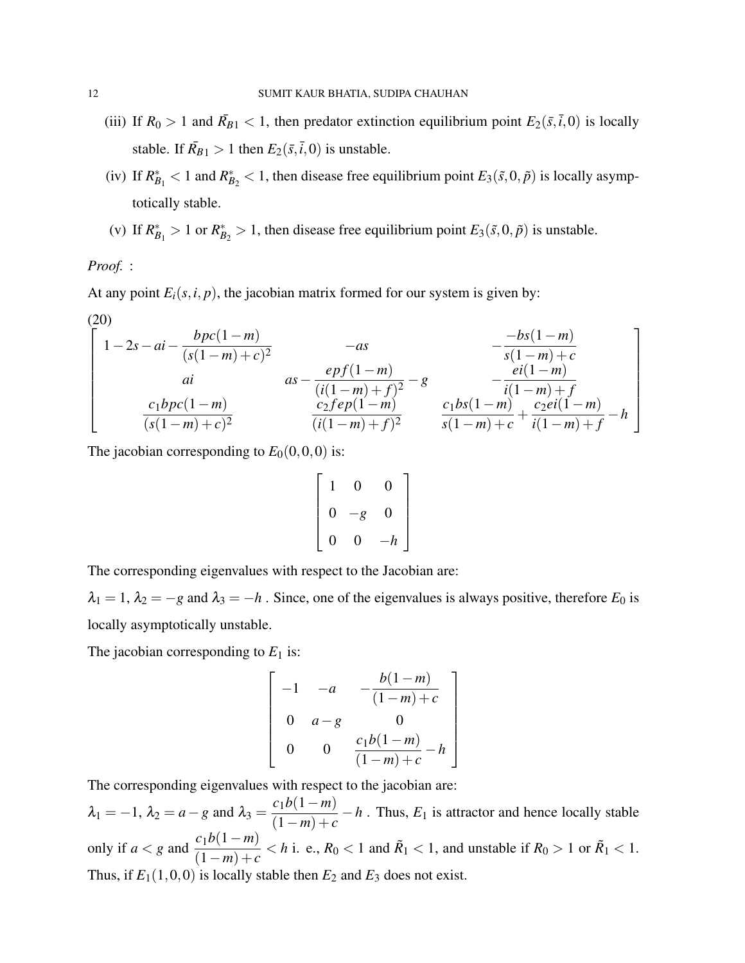- (iii) If  $R_0 > 1$  and  $\bar{R}_{B1} < 1$ , then predator extinction equilibrium point  $E_2(\bar{s}, \bar{t}, 0)$  is locally stable. If  $\bar{R}_{B1} > 1$  then  $E_2(\bar{s}, \bar{t}, 0)$  is unstable.
- (iv) If  $R_{B_1}^* < 1$  and  $R_{B_2}^* < 1$ , then disease free equilibrium point  $E_3(\tilde{s},0,\tilde{p})$  is locally asymptotically stable.
- (v) If  $R_{B_1}^* > 1$  or  $R_{B_2}^* > 1$ , then disease free equilibrium point  $E_3(\tilde{s},0,\tilde{p})$  is unstable.

*Proof.* :

At any point  $E_i(s, i, p)$ , the jacobian matrix formed for our system is given by:

(20)  
\n
$$
\begin{bmatrix}\n1-2s-ai - \frac{bpc(1-m)}{(s(1-m)+c)^2} & -as & -\frac{-bs(1-m)}{s(1-m)+c} \\
ai & as - \frac{epf(1-m)}{(i(1-m)+f)^2} - g & -\frac{ei(1-m)}{i(1-m)+f} \\
\frac{c_1bpc(1-m)}{(s(1-m)+c)^2} & \frac{c_2fep(1-m)}{(i(1-m)+f)^2} & \frac{c_1bs(1-m)}{s(1-m)+c} + \frac{c_2ei(1-m)}{i(1-m)+f} - h\n\end{bmatrix}
$$

The jacobian corresponding to  $E_0(0,0,0)$  is:

$$
\left[\begin{array}{ccc} 1 & 0 & 0 \\ 0 & -g & 0 \\ 0 & 0 & -h \end{array}\right]
$$

The corresponding eigenvalues with respect to the Jacobian are:

 $\lambda_1 = 1$ ,  $\lambda_2 = -g$  and  $\lambda_3 = -h$ . Since, one of the eigenvalues is always positive, therefore  $E_0$  is locally asymptotically unstable.

The jacobian corresponding to  $E_1$  is:

$$
\begin{bmatrix}\n-1 & -a & -\frac{b(1-m)}{(1-m)+c} \\
0 & a-g & 0 \\
0 & 0 & \frac{c_1b(1-m)}{(1-m)+c} - h\n\end{bmatrix}
$$

The corresponding eigenvalues with respect to the jacobian are:

 $\lambda_1 = -1$ ,  $\lambda_2 = a - g$  and  $\lambda_3 =$ *c*1*b*(1−*m*)  $\frac{C_1C_1 + R_2}{(1-m) + c} - h$ . Thus,  $E_1$  is attractor and hence locally stable only if  $a < g$  and  $\frac{c_1b(1-m)}{(1-a_1)^2}$  $\frac{C_1D(1-m)}{(1-m)+c} < h$  i. e.,  $R_0 < 1$  and  $\tilde{R}_1 < 1$ , and unstable if  $R_0 > 1$  or  $\tilde{R}_1 < 1$ . Thus, if  $E_1(1,0,0)$  is locally stable then  $E_2$  and  $E_3$  does not exist.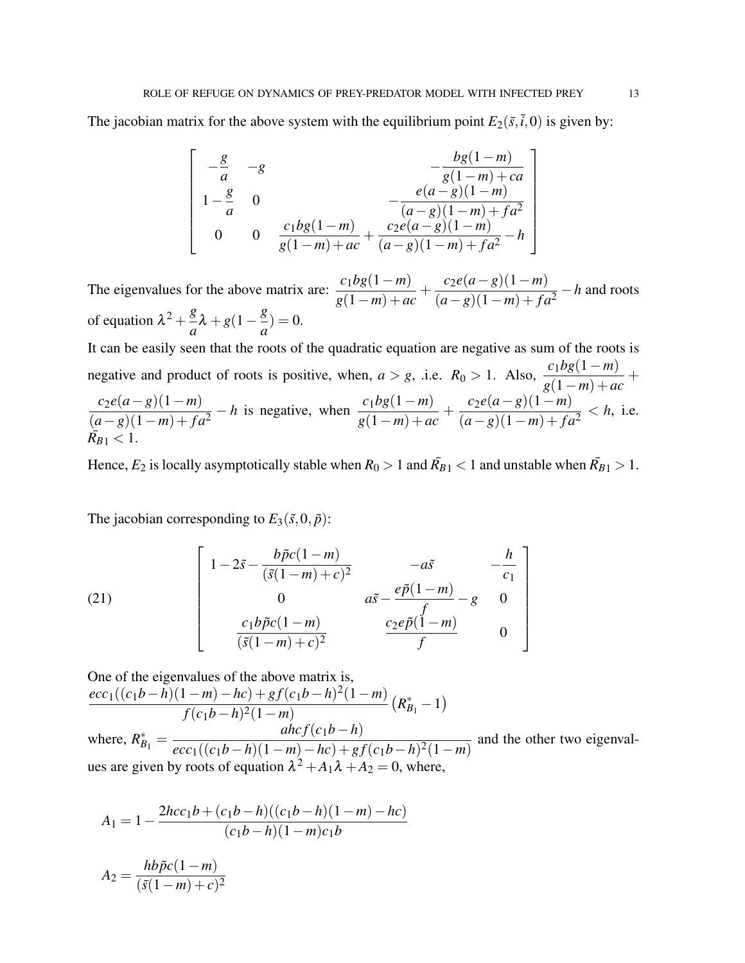The jacobian matrix for the above system with the equilibrium point  $E_2(\bar{s}, \bar{t}, 0)$  is given by:

$$
\begin{bmatrix}\n-\frac{g}{a} & -g & -\frac{bg(1-m)}{g(1-m)+ca} \\
1-\frac{g}{a} & 0 & -\frac{e(a-g)(1-m)}{(a-g)(1-m)+fa^2} \\
0 & 0 & \frac{c_1bg(1-m)}{g(1-m)+ac} + \frac{c_2e(a-g)(1-m)}{(a-g)(1-m)+fa^2} - h\n\end{bmatrix}
$$

The eigenvalues for the above matrix are:  $\frac{c_1bg(1-m)}{(1-m)}$ *g*(1−*m*) +*ac*  $+\frac{c_2e(a-g)(1-m)}{(1-c_2)(1-c_1)}$  $\frac{c_2c_3(a-s)(1-m)}{(a-g)(1-m)+fa^2} - h$  and roots of equation  $\lambda^2 + \frac{g}{g}$  $\frac{g}{a}\lambda + g(1-\frac{g}{a})$  $\frac{\delta}{a}$ ) = 0.

It can be easily seen that the roots of the quadratic equation are negative as sum of the roots is negative and product of roots is positive, when,  $a > g$ , .i.e.  $R_0 > 1$ . Also,  $\frac{c_1bg(1-m)}{g(1-m)+ac}$  $+$ *c*2*e*(*a*−*g*)(1−*m*)  $(a-g)(1-m) + fa^2$  $-h$  is negative, when  $\frac{c_1bg(1-m)}{(1-a_1)^2}$ *g*(1−*m*) +*ac*  $+\frac{c_2e(a-g)(1-m)}{(1-c_2)(1-c_1)}$  $\frac{c_2c(a-s)(1-m)}{(a-g)(1-m)+fa^2} < h$ , i.e.  $\bar{R_{B1}} < 1.$ 

Hence,  $E_2$  is locally asymptotically stable when  $R_0 > 1$  and  $\bar{R_{B1}} < 1$  and unstable when  $\bar{R_{B1}} > 1$ .

1

 $\overline{1}$  $\overline{1}$  $\overline{1}$  $\mathbf{I}$  $\vert$  $\overline{1}$  $\overline{1}$ 

The jacobian corresponding to  $E_3(\tilde{s},0,\tilde{p})$ :

(21) 
$$
\begin{bmatrix} 1 - 2\tilde{s} - \frac{b\tilde{p}c(1-m)}{(\tilde{s}(1-m) + c)^2} & -a\tilde{s} & -\frac{h}{c_1} \\ 0 & a\tilde{s} - \frac{e\tilde{p}(1-m)}{f} - g & 0 \\ \frac{c_1b\tilde{p}c(1-m)}{(\tilde{s}(1-m) + c)^2} & \frac{c_2e\tilde{p}(1-m)}{f} & 0 \end{bmatrix}
$$

One of the eigenvalues of the above matrix is,  $ecc_1((c_1b-h)(1-m)-hc) + gf(c_1b-h)^2(1-m)$ *f*(*c*1*b*−*h*) <sup>2</sup>(1−*m*)  $\left(R_{B_1}^{*}-1\right)$ where,  $R_{B_1}^* =$  $\int$ *ahc* $f(c_1b - h)$  $ecc_1((c_1b-h)(1-m)-hc) + gf(c_1b-h)^2(1-m)$ and the other two eigenvalues are given by roots of equation  $\lambda^2 + A_1 \lambda + A_2 = 0$ , where,

$$
A_1 = 1 - \frac{2hc_1b + (c_1b - h)((c_1b - h)(1 - m) - hc)}{(c_1b - h)(1 - m)c_1b}
$$

$$
A_2 = \frac{hb\tilde{p}c(1-m)}{(\tilde{s}(1-m)+c)^2}
$$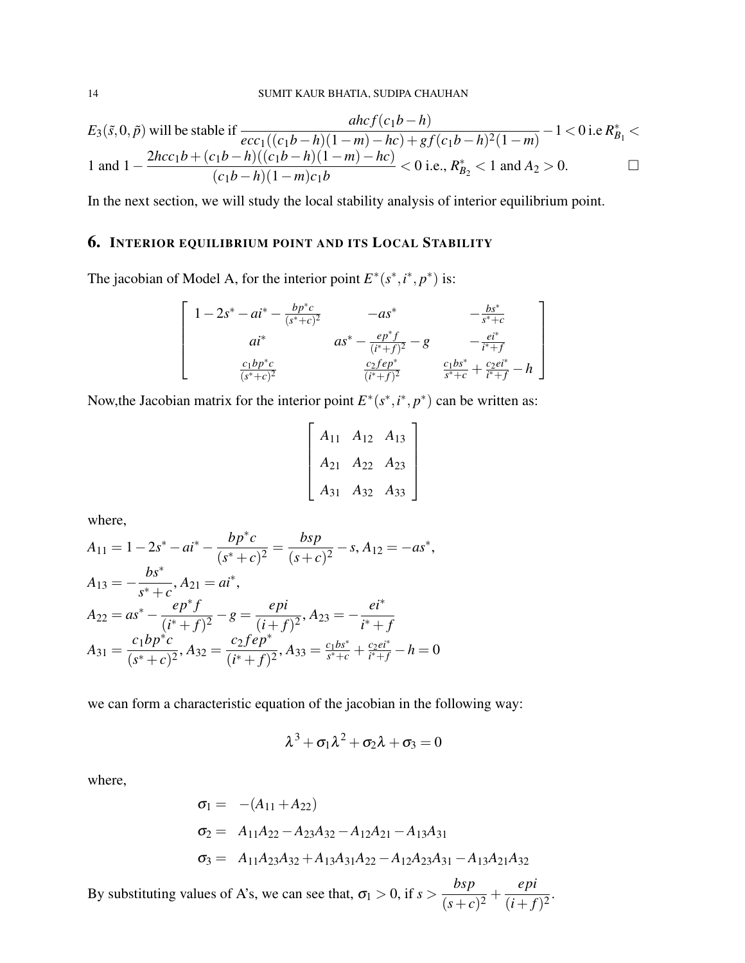$$
E_3(\tilde{s},0,\tilde{p}) \text{ will be stable if } \frac{ahcf(c_1b-h)}{ecc_1((c_1b-h)(1-m)-hc)+gf(c_1b-h)^2(1-m)}-1 < 0 \text{ i.e. } R_{B_1}^* < 1 \text{ and } 1 - \frac{2hcc_1b + (c_1b-h)((c_1b-h)(1-m)-hc)}{(c_1b-h)(1-m)c_1b} < 0 \text{ i.e., } R_{B_2}^* < 1 \text{ and } A_2 > 0.
$$

In the next section, we will study the local stability analysis of interior equilibrium point.

# 6. INTERIOR EQUILIBRIUM POINT AND ITS LOCAL STABILITY

The jacobian of Model A, for the interior point  $E^*(s^*, i^*, p^*)$  is:

$$
\begin{bmatrix}\n1 - 2s^* - ai^* - \frac{bp^*c}{(s^* + c)^2} & -as^* & -\frac{bs^*}{s^* + c} \\
ai^* & as^* - \frac{ep^*f}{(t^* + f)^2} - g & -\frac{ei^*}{t^* + f} \\
\frac{c_1bp^*c}{(s^* + c)^2} & \frac{c_2fe^{*}}{(t^* + f)^2} & \frac{c_1bs^*}{s^* + c} + \frac{c_2ei^*}{t^* + f} - h\n\end{bmatrix}
$$

Now, the Jacobian matrix for the interior point  $E^*(s^*, i^*, p^*)$  can be written as:

$$
\begin{bmatrix} A_{11} & A_{12} & A_{13} \\ A_{21} & A_{22} & A_{23} \\ A_{31} & A_{32} & A_{33} \end{bmatrix}
$$

where,

$$
A_{11} = 1 - 2s^* - ai^* - \frac{bp^*c}{(s^* + c)^2} = \frac{bsp}{(s + c)^2} - s, A_{12} = -as^*,
$$
  
\n
$$
A_{13} = -\frac{bs^*}{s^* + c}, A_{21} = ai^*,
$$
  
\n
$$
A_{22} = as^* - \frac{ep^*f}{(i^* + f)^2} - g = \frac{epi}{(i + f)^2}, A_{23} = -\frac{ei^*}{i^* + f}
$$
  
\n
$$
A_{31} = \frac{c_1bp^*c}{(s^* + c)^2}, A_{32} = \frac{c_2fep^*}{(i^* + f)^2}, A_{33} = \frac{c_1bs^*}{s^* + c} + \frac{c_2ei^*}{i^* + f} - h = 0
$$

we can form a characteristic equation of the jacobian in the following way:

$$
\lambda^3 + \sigma_1\lambda^2 + \sigma_2\lambda + \sigma_3 = 0
$$

where,

$$
\sigma_1 = -(A_{11} + A_{22})
$$
  
\n
$$
\sigma_2 = A_{11}A_{22} - A_{23}A_{32} - A_{12}A_{21} - A_{13}A_{31}
$$
  
\n
$$
\sigma_3 = A_{11}A_{23}A_{32} + A_{13}A_{31}A_{22} - A_{12}A_{23}A_{31} - A_{13}A_{21}A_{32}
$$

By substituting values of A's, we can see that,  $\sigma_1 > 0$ , if  $s >$ *bsp*  $\frac{^{-1}(s+1)^2}{(s+c)^2}$ *epi*  $\frac{c_{P}^{i}}{(i+f)^{2}}$ .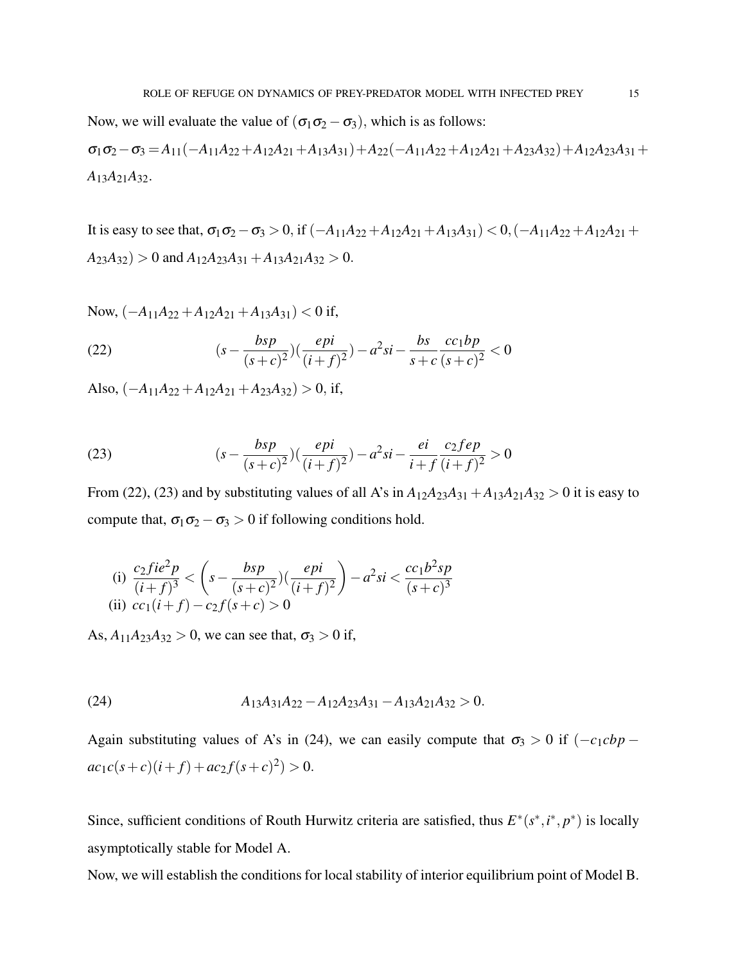Now, we will evaluate the value of  $(\sigma_1 \sigma_2 - \sigma_3)$ , which is as follows:  $\sigma_1 \sigma_2 - \sigma_3 = A_{11}(-A_{11}A_{22}+A_{12}A_{21}+A_{13}A_{31})+A_{22}(-A_{11}A_{22}+A_{12}A_{21}+A_{23}A_{32})+A_{12}A_{23}A_{31}+$  $A_{13}A_{21}A_{32}$ .

It is easy to see that,  $\sigma_1 \sigma_2 - \sigma_3 > 0$ , if  $(-A_{11}A_{22} + A_{12}A_{21} + A_{13}A_{31}) < 0$ ,  $(-A_{11}A_{22} + A_{12}A_{21} + A_{13}A_{31})$  $A_{23}A_{32}$ ) > 0 and  $A_{12}A_{23}A_{31} + A_{13}A_{21}A_{32}$  > 0.

Now,  $(-A_{11}A_{22} + A_{12}A_{21} + A_{13}A_{31}) < 0$  if,

(22) 
$$
(s - \frac{bsp}{(s+c)^2})\left(\frac{epi}{(i+f)^2}\right) - a^2si - \frac{bs}{s+c} \frac{cc_1bp}{(s+c)^2} < 0
$$

Also,  $(-A_{11}A_{22} + A_{12}A_{21} + A_{23}A_{32}) > 0$ , if,

(23) 
$$
(s - \frac{bsp}{(s+c)^2})\left(\frac{epi}{(i+f)^2}\right) - a^2si - \frac{ei}{i+f} \frac{c_2 f e p}{(i+f)^2} > 0
$$

From (22), (23) and by substituting values of all A's in  $A_{12}A_{23}A_{31} + A_{13}A_{21}A_{32} > 0$  it is easy to compute that,  $\sigma_1 \sigma_2 - \sigma_3 > 0$  if following conditions hold.

(i) 
$$
\frac{c_2fie^2p}{(i+f)^3} < \left(s - \frac{bsp}{(s+c)^2}\right)\left(\frac{epi}{(i+f)^2}\right) - a^2si < \frac{cc_1b^2sp}{(s+c)^3}
$$
\n(ii)  $cc_1(i+f) - c_2f(s+c) > 0$ 

As,  $A_{11}A_{23}A_{32} > 0$ , we can see that,  $\sigma_3 > 0$  if,

(24) 
$$
A_{13}A_{31}A_{22}-A_{12}A_{23}A_{31}-A_{13}A_{21}A_{32}>0.
$$

Again substituting values of A's in (24), we can easily compute that  $\sigma_3 > 0$  if  $(-c_1cbp - c_2b$  $ac_1c(s+c)(i+f) + ac_2f(s+c)^2) > 0.$ 

Since, sufficient conditions of Routh Hurwitz criteria are satisfied, thus  $E^*(s^*, i^*, p^*)$  is locally asymptotically stable for Model A.

Now, we will establish the conditions for local stability of interior equilibrium point of Model B.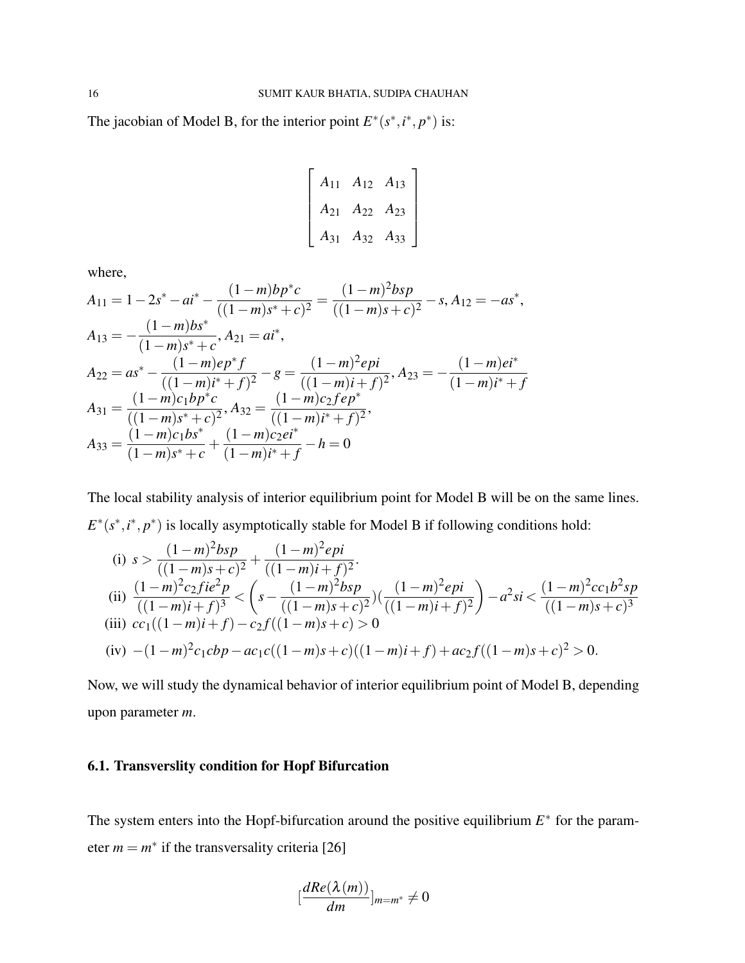The jacobian of Model B, for the interior point  $E^*(s^*, i^*, p^*)$  is:

$$
\begin{bmatrix} A_{11} & A_{12} & A_{13} \\ A_{21} & A_{22} & A_{23} \\ A_{31} & A_{32} & A_{33} \end{bmatrix}
$$

where,

$$
A_{11} = 1 - 2s^* - ai^* - \frac{(1-m)b p^* c}{((1-m)s^* + c)^2} = \frac{(1-m)^2 b s p}{((1-m)s + c)^2} - s, A_{12} = -as^*,
$$
  
\n
$$
A_{13} = -\frac{(1-m)b s^*}{(1-m)s^* + c}, A_{21} = ai^*,
$$
  
\n
$$
A_{22} = as^* - \frac{(1-m)e p^* f}{((1-m)i^* + f)^2} - g = \frac{(1-m)^2 e p i}{((1-m)i + f)^2}, A_{23} = -\frac{(1-m)e i^*}{(1-m)i^* + f}
$$
  
\n
$$
A_{31} = \frac{(1-m)c_1 b p^* c}{((1-m)s^* + c)^2}, A_{32} = \frac{(1-m)c_2 f e p^*}{((1-m)i^* + f)^2},
$$
  
\n
$$
A_{33} = \frac{(1-m)c_1 bs^*}{(1-m)s^* + c} + \frac{(1-m)c_2 ei^*}{(1-m)i^* + f} - h = 0
$$

The local stability analysis of interior equilibrium point for Model B will be on the same lines.  $E^*(s^*, i^*, p^*)$  is locally asymptotically stable for Model B if following conditions hold:

(i) 
$$
s > \frac{(1-m)^2 bsp}{((1-m)s + c)^2} + \frac{(1-m)^2 epi}{((1-m)i + f)^2}
$$
  
\n(ii)  $\frac{(1-m)^2 c_2 f i e^2 p}{((1-m)i + f)^3} < \left(s - \frac{(1-m)^2 bsp}{((1-m)s + c)^2}\right) \left(\frac{(1-m)^2 epi}{((1-m)i + f)^2}\right) - a^2 si < \frac{(1-m)^2 c_1 b^2 sp}{((1-m)s + c)^3}$   
\n(iii)  $cc_1 ((1-m)i + f) - c_2 f ((1-m)s + c) > 0$   
\n(iv)  $-(1-m)^2 c_1 cbp - ac_1 c ((1-m)s + c)((1-m)i + f) + ac_2 f ((1-m)s + c)^2 > 0$ .

Now, we will study the dynamical behavior of interior equilibrium point of Model B, depending upon parameter *m*.

### 6.1. Transverslity condition for Hopf Bifurcation

The system enters into the Hopf-bifurcation around the positive equilibrium  $E^*$  for the parameter  $m = m^*$  if the transversality criteria [26]

$$
\left[\frac{dRe(\lambda(m))}{dm}\right]_{m=m^*}\neq 0
$$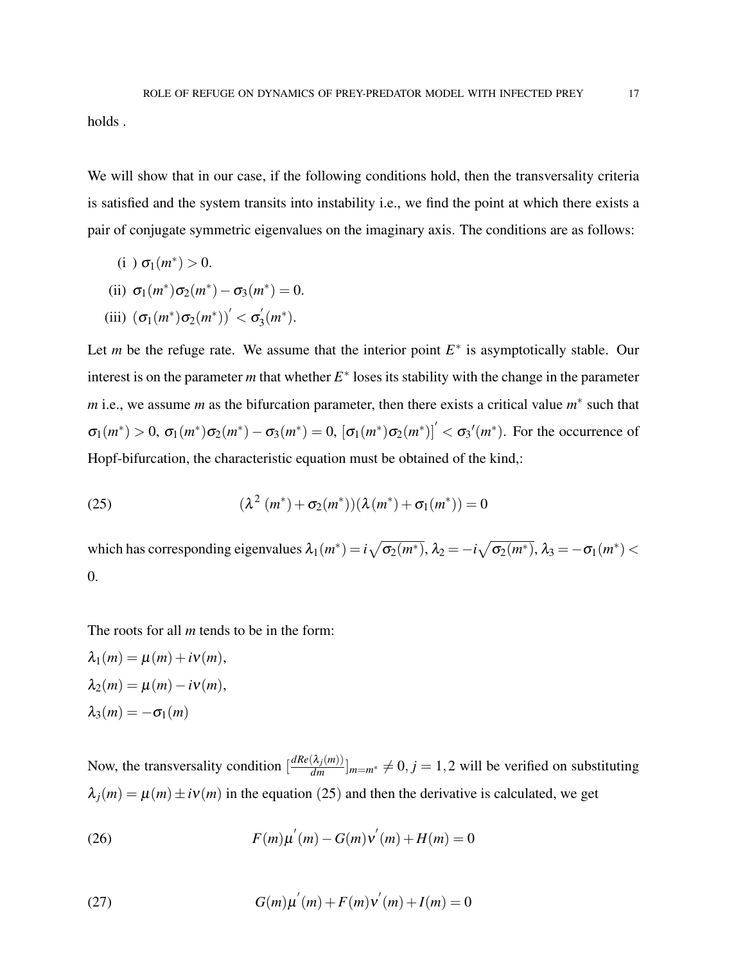holds .

We will show that in our case, if the following conditions hold, then the transversality criteria is satisfied and the system transits into instability i.e., we find the point at which there exists a pair of conjugate symmetric eigenvalues on the imaginary axis. The conditions are as follows:

(i )  $\sigma_1(m^*) > 0$ .

(ii) 
$$
\sigma_1(m^*)\sigma_2(m^*) - \sigma_3(m^*) = 0.
$$

(iii) 
$$
(\sigma_1(m^*)\sigma_2(m^*))' < \sigma'_3(m^*).
$$

Let *m* be the refuge rate. We assume that the interior point  $E^*$  is asymptotically stable. Our interest is on the parameter  $m$  that whether  $E^*$  loses its stability with the change in the parameter *m* i.e., we assume *m* as the bifurcation parameter, then there exists a critical value  $m^*$  such that  $\sigma_1(m^*) > 0$ ,  $\sigma_1(m^*) \sigma_2(m^*) - \sigma_3(m^*) = 0$ ,  $[\sigma_1(m^*) \sigma_2(m^*)] < \sigma_3'(m^*)$ . For the occurrence of Hopf-bifurcation, the characteristic equation must be obtained of the kind,:

(25) 
$$
(\lambda^2 (m^*) + \sigma_2 (m^*)) (\lambda (m^*) + \sigma_1 (m^*)) = 0
$$

which has corresponding eigenvalues  $\lambda_1(m^*)=i\sqrt{\sigma_2(m^*)}$ ,  $\lambda_2=-i\sqrt{\sigma_2(m^*)}$ ,  $\lambda_3=-\sigma_1(m^*)$  < 0.

The roots for all *m* tends to be in the form:

$$
\lambda_1(m) = \mu(m) + i\nu(m),
$$
  
\n
$$
\lambda_2(m) = \mu(m) - i\nu(m),
$$
  
\n
$$
\lambda_3(m) = -\sigma_1(m)
$$

Now, the transversality condition  $\left[\frac{dRe(\lambda_j(m))}{dm}\right]_{m=m^*} \neq 0, j = 1, 2$  will be verified on substituting  $\lambda_j(m) = \mu(m) \pm i\nu(m)$  in the equation (25) and then the derivative is calculated, we get

(26) 
$$
F(m)\mu'(m) - G(m)\nu'(m) + H(m) = 0
$$

(27) 
$$
G(m)\mu^{'}(m) + F(m)\nu^{'}(m) + I(m) = 0
$$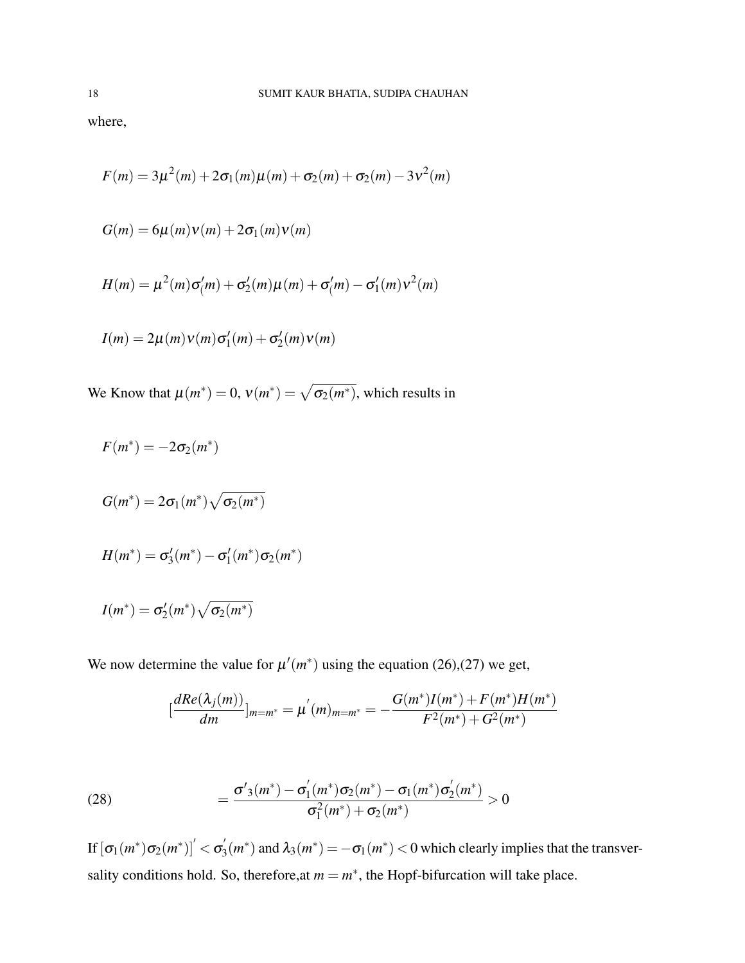where,

$$
F(m) = 3\mu^{2}(m) + 2\sigma_{1}(m)\mu(m) + \sigma_{2}(m) + \sigma_{2}(m) - 3v^{2}(m)
$$

$$
G(m) = 6\mu(m)v(m) + 2\sigma_1(m)v(m)
$$

$$
H(m) = \mu^2(m)\sigma(m) + \sigma'_2(m)\mu(m) + \sigma'_2(m) - \sigma'_1(m)v^2(m)
$$

$$
I(m) = 2\mu(m)v(m)\sigma'_1(m) + \sigma'_2(m)v(m)
$$

We Know that  $\mu(m^*) = 0$ ,  $v(m^*) = \sqrt{\sigma_2(m^*)}$ , which results in

$$
F(m^*) = -2\sigma_2(m^*)
$$
  
\n
$$
G(m^*) = 2\sigma_1(m^*) \sqrt{\sigma_2(m^*)}
$$
  
\n
$$
H(m^*) = \sigma'_3(m^*) - \sigma'_1(m^*) \sigma_2(m^*)
$$
  
\n
$$
I(m^*) = \sigma'_2(m^*) \sqrt{\sigma_2(m^*)}
$$

We now determine the value for  $\mu'(m^*)$  using the equation (26),(27) we get,

$$
\left[\frac{dRe(\lambda_j(m))}{dm}\right]_{m=m^*} = \mu'(m)_{m=m^*} = -\frac{G(m^*)I(m^*)+F(m^*)H(m^*)}{F^2(m^*)+G^2(m^*)}
$$

(28) 
$$
= \frac{\sigma'_{3}(m^{*}) - \sigma'_{1}(m^{*})\sigma_{2}(m^{*}) - \sigma_{1}(m^{*})\sigma'_{2}(m^{*})}{\sigma_{1}^{2}(m^{*}) + \sigma_{2}(m^{*})} > 0
$$

If  $[\sigma_1(m^*)\sigma_2(m^*)]'< \sigma'_3$  $\mathcal{A}_3(m^*)$  and  $\lambda_3(m^*) = -\sigma_1(m^*) < 0$  which clearly implies that the transversality conditions hold. So, therefore, at  $m = m^*$ , the Hopf-bifurcation will take place.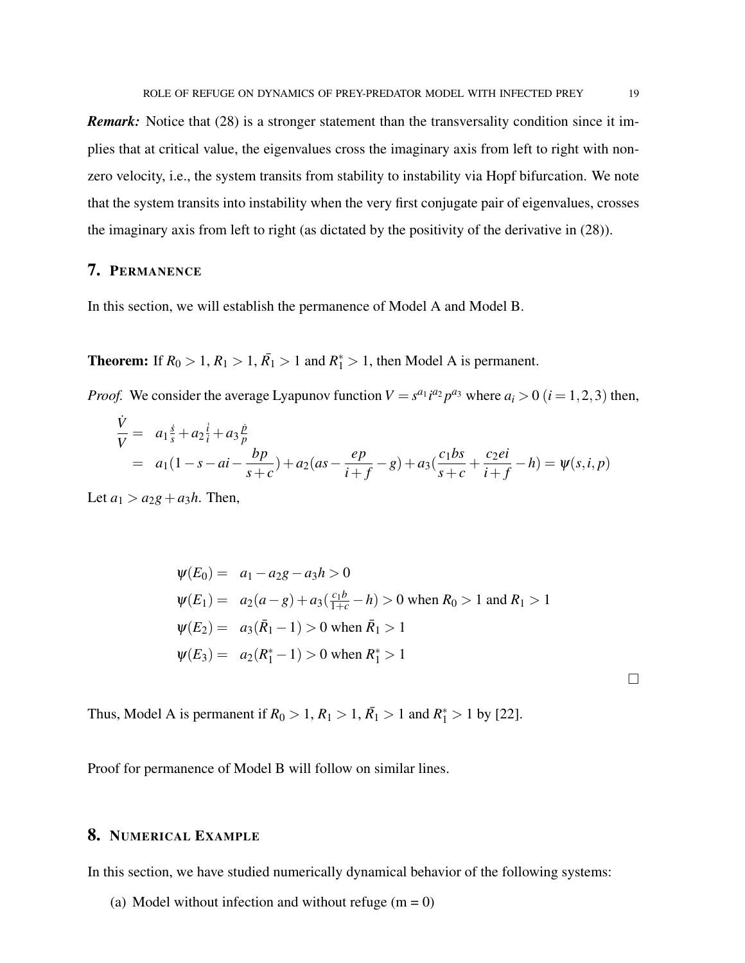**Remark:** Notice that (28) is a stronger statement than the transversality condition since it implies that at critical value, the eigenvalues cross the imaginary axis from left to right with nonzero velocity, i.e., the system transits from stability to instability via Hopf bifurcation. We note that the system transits into instability when the very first conjugate pair of eigenvalues, crosses the imaginary axis from left to right (as dictated by the positivity of the derivative in (28)).

# 7. PERMANENCE

In this section, we will establish the permanence of Model A and Model B.

**Theorem:** If  $R_0 > 1, R_1 > 1, R_1 > 1$  and  $R_1^* > 1$ , then Model A is permanent.

*Proof.* We consider the average Lyapunov function  $V = s^{a_1} i^{a_2} p^{a_3}$  where  $a_i > 0$  ( $i = 1, 2, 3$ ) then,

$$
\frac{\dot{V}}{V} = a_1 \frac{\dot{s}}{s} + a_2 \frac{\dot{i}}{t} + a_3 \frac{\dot{p}}{p}
$$
\n
$$
= a_1 (1 - s - ai - \frac{bp}{s + c}) + a_2 (as - \frac{ep}{i + f} - g) + a_3 (\frac{c_1 bs}{s + c} + \frac{c_2 ei}{i + f} - h) = \psi(s, i, p)
$$

Let  $a_1 > a_2g + a_3h$ . Then,

$$
\psi(E_0) = a_1 - a_2g - a_3h > 0
$$
  
\n
$$
\psi(E_1) = a_2(a-g) + a_3(\frac{c_1b}{1+c} - h) > 0 \text{ when } R_0 > 1 \text{ and } R_1 > 1
$$
  
\n
$$
\psi(E_2) = a_3(\bar{R}_1 - 1) > 0 \text{ when } \bar{R}_1 > 1
$$
  
\n
$$
\psi(E_3) = a_2(R_1^* - 1) > 0 \text{ when } R_1^* > 1
$$

 $\Box$ 

Thus, Model A is permanent if  $R_0 > 1, R_1 > 1, \overline{R_1} > 1$  and  $R_1^* > 1$  by [22].

Proof for permanence of Model B will follow on similar lines.

# 8. NUMERICAL EXAMPLE

In this section, we have studied numerically dynamical behavior of the following systems:

(a) Model without infection and without refuge  $(m = 0)$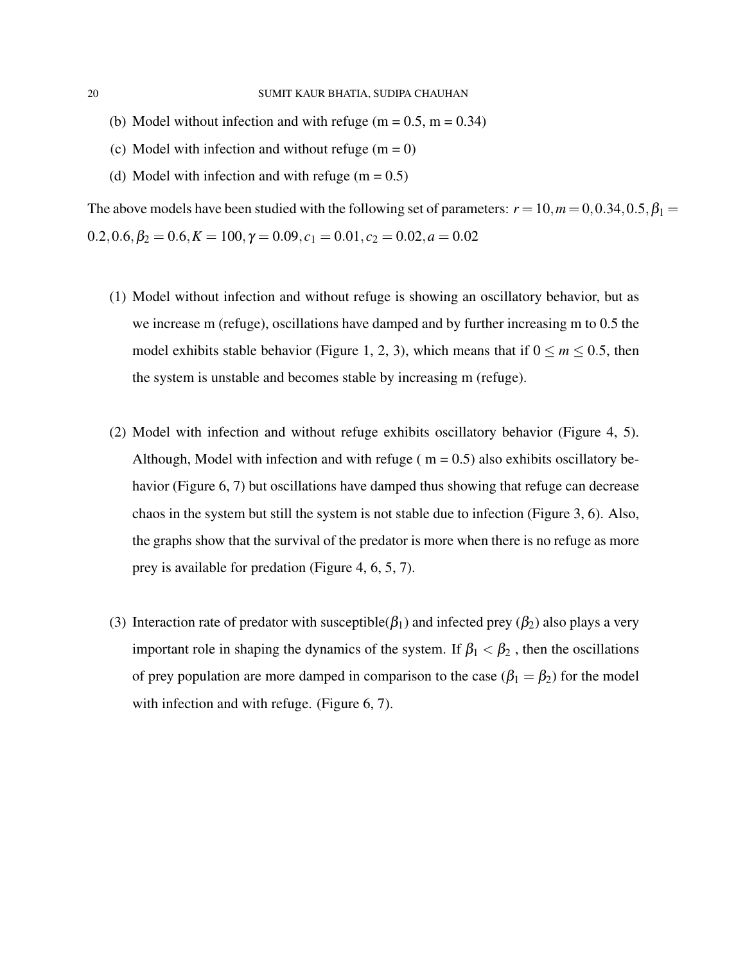- (b) Model without infection and with refuge (m =  $0.5$ , m =  $0.34$ )
- (c) Model with infection and without refuge  $(m = 0)$
- (d) Model with infection and with refuge  $(m = 0.5)$

The above models have been studied with the following set of parameters:  $r = 10$ ,  $m = 0$ , 0.34, 0.5,  $\beta_1 =$  $0.2, 0.6, \beta_2 = 0.6, K = 100, \gamma = 0.09, c_1 = 0.01, c_2 = 0.02, a = 0.02$ 

- (1) Model without infection and without refuge is showing an oscillatory behavior, but as we increase m (refuge), oscillations have damped and by further increasing m to 0.5 the model exhibits stable behavior (Figure 1, 2, 3), which means that if  $0 \le m \le 0.5$ , then the system is unstable and becomes stable by increasing m (refuge).
- (2) Model with infection and without refuge exhibits oscillatory behavior (Figure 4, 5). Although, Model with infection and with refuge ( $m = 0.5$ ) also exhibits oscillatory behavior (Figure 6, 7) but oscillations have damped thus showing that refuge can decrease chaos in the system but still the system is not stable due to infection (Figure 3, 6). Also, the graphs show that the survival of the predator is more when there is no refuge as more prey is available for predation (Figure 4, 6, 5, 7).
- (3) Interaction rate of predator with susceptible( $\beta_1$ ) and infected prey ( $\beta_2$ ) also plays a very important role in shaping the dynamics of the system. If  $\beta_1 < \beta_2$ , then the oscillations of prey population are more damped in comparison to the case ( $\beta_1 = \beta_2$ ) for the model with infection and with refuge. (Figure 6, 7).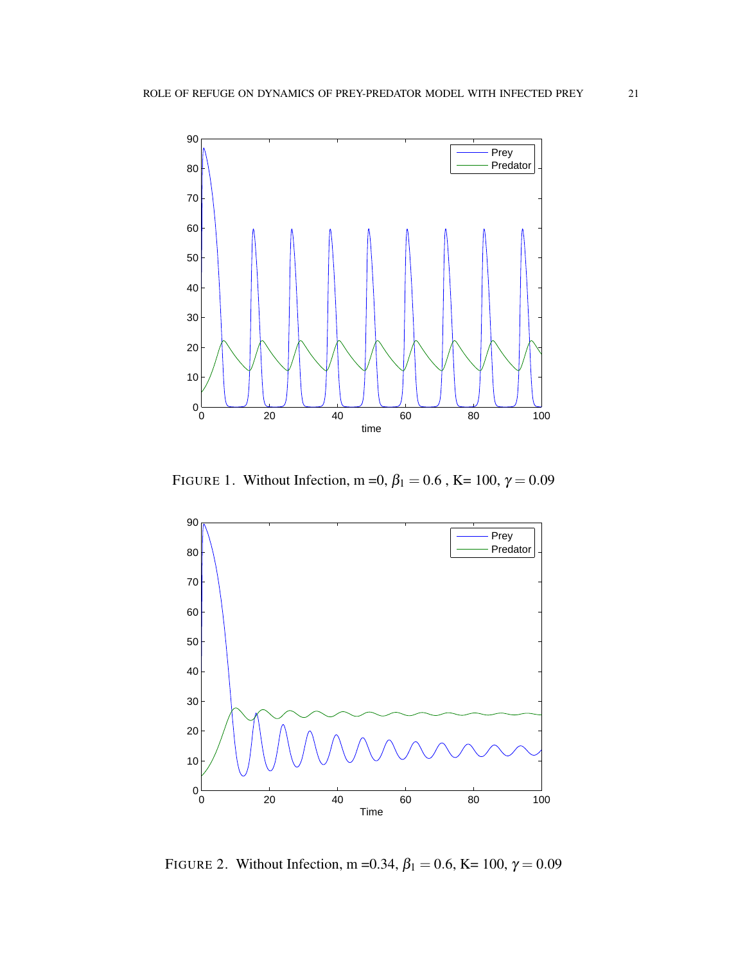

FIGURE 1. Without Infection, m = 0,  $\beta_1 = 0.6$ , K = 100,  $\gamma = 0.09$ 



FIGURE 2. Without Infection, m = 0.34,  $\beta_1 = 0.6$ , K = 100,  $\gamma = 0.09$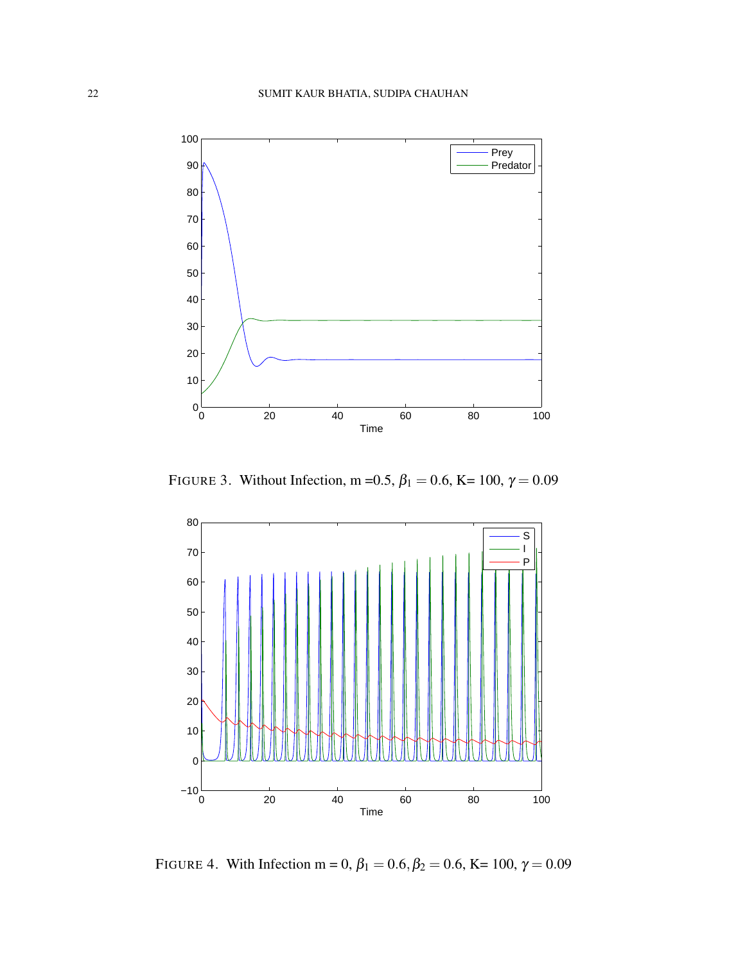

FIGURE 3. Without Infection, m = 0.5,  $\beta_1 = 0.6$ , K = 100,  $\gamma = 0.09$ 



FIGURE 4. With Infection m = 0,  $\beta_1 = 0.6, \beta_2 = 0.6, K = 100, \gamma = 0.09$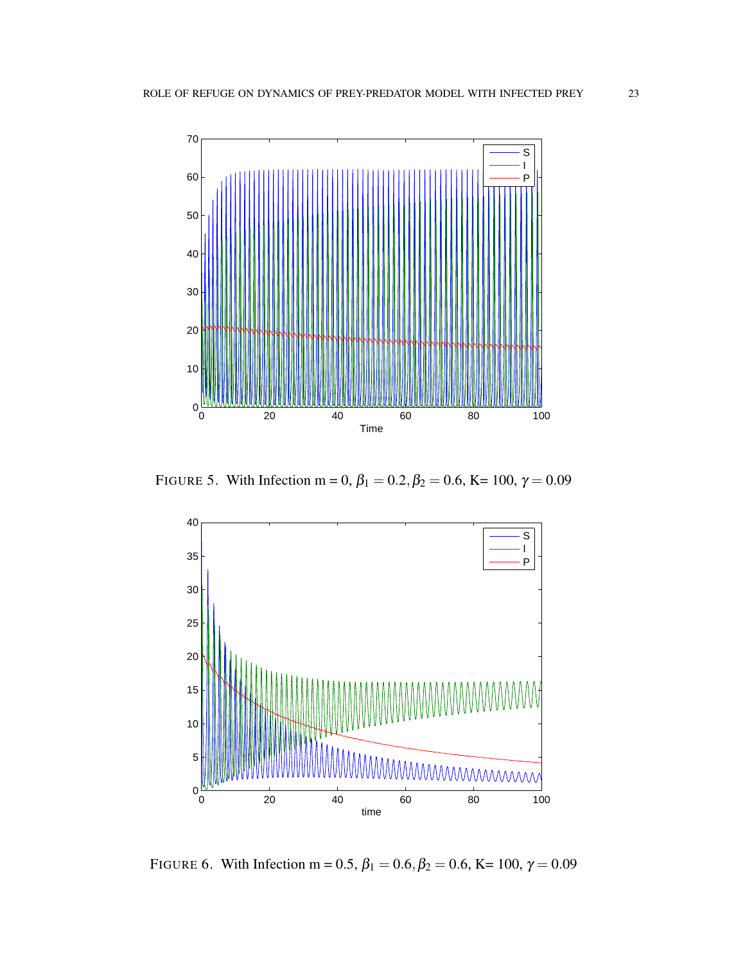

FIGURE 5. With Infection m = 0,  $\beta_1 = 0.2, \beta_2 = 0.6$ , K = 100,  $\gamma = 0.09$ 



FIGURE 6. With Infection m = 0.5,  $\beta_1 = 0.6, \beta_2 = 0.6, K = 100, \gamma = 0.09$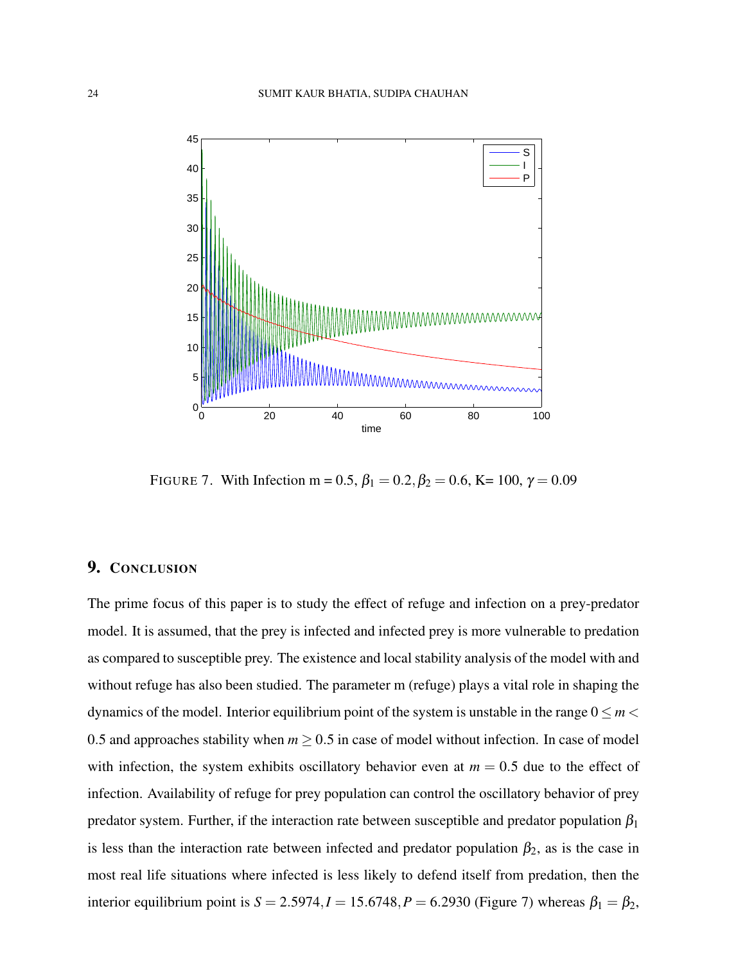

FIGURE 7. With Infection m = 0.5,  $\beta_1 = 0.2, \beta_2 = 0.6$ , K = 100,  $\gamma = 0.09$ 

# 9. CONCLUSION

The prime focus of this paper is to study the effect of refuge and infection on a prey-predator model. It is assumed, that the prey is infected and infected prey is more vulnerable to predation as compared to susceptible prey. The existence and local stability analysis of the model with and without refuge has also been studied. The parameter m (refuge) plays a vital role in shaping the dynamics of the model. Interior equilibrium point of the system is unstable in the range  $0 \le m <$ 0.5 and approaches stability when  $m \geq 0.5$  in case of model without infection. In case of model with infection, the system exhibits oscillatory behavior even at  $m = 0.5$  due to the effect of infection. Availability of refuge for prey population can control the oscillatory behavior of prey predator system. Further, if the interaction rate between susceptible and predator population  $\beta_1$ is less than the interaction rate between infected and predator population  $\beta_2$ , as is the case in most real life situations where infected is less likely to defend itself from predation, then the interior equilibrium point is  $S = 2.5974$ ,  $I = 15.6748$ ,  $P = 6.2930$  (Figure 7) whereas  $\beta_1 = \beta_2$ ,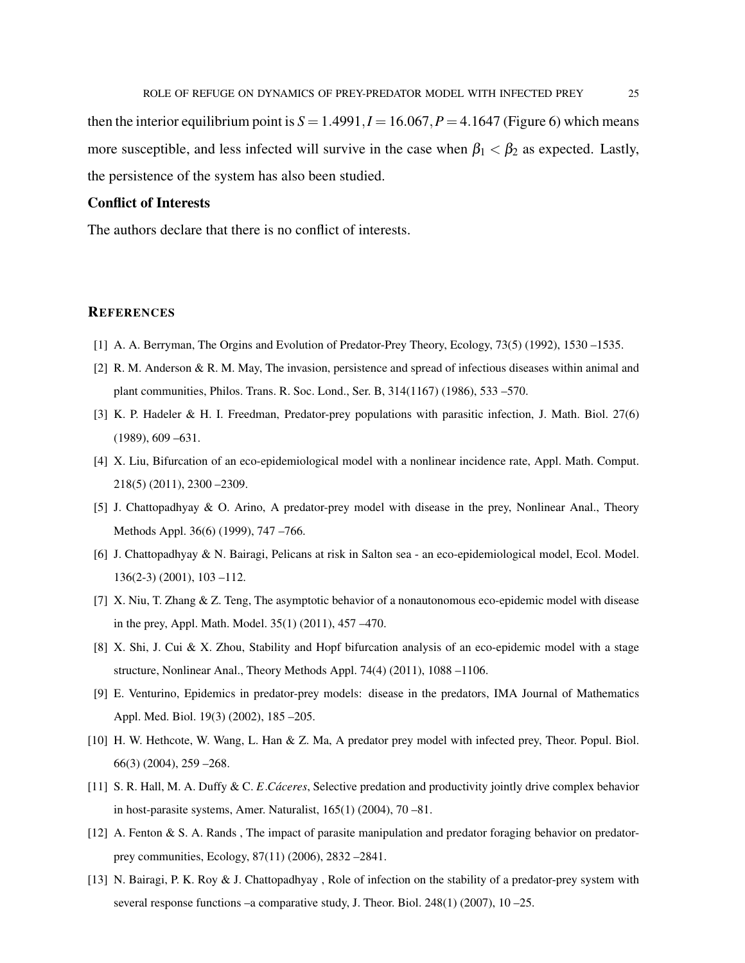then the interior equilibrium point is  $S = 1.4991, I = 16.067, P = 4.1647$  (Figure 6) which means more susceptible, and less infected will survive in the case when  $\beta_1 < \beta_2$  as expected. Lastly, the persistence of the system has also been studied.

### Conflict of Interests

The authors declare that there is no conflict of interests.

#### **REFERENCES**

- [1] A. A. Berryman, The Orgins and Evolution of Predator-Prey Theory, Ecology, 73(5) (1992), 1530 –1535.
- [2] R. M. Anderson & R. M. May, The invasion, persistence and spread of infectious diseases within animal and plant communities, Philos. Trans. R. Soc. Lond., Ser. B, 314(1167) (1986), 533 –570.
- [3] K. P. Hadeler & H. I. Freedman, Predator-prey populations with parasitic infection, J. Math. Biol. 27(6) (1989), 609 –631.
- [4] X. Liu, Bifurcation of an eco-epidemiological model with a nonlinear incidence rate, Appl. Math. Comput. 218(5) (2011), 2300 –2309.
- [5] J. Chattopadhyay & O. Arino, A predator-prey model with disease in the prey, Nonlinear Anal., Theory Methods Appl. 36(6) (1999), 747 –766.
- [6] J. Chattopadhyay & N. Bairagi, Pelicans at risk in Salton sea an eco-epidemiological model, Ecol. Model. 136(2-3) (2001), 103 –112.
- [7] X. Niu, T. Zhang & Z. Teng, The asymptotic behavior of a nonautonomous eco-epidemic model with disease in the prey, Appl. Math. Model. 35(1) (2011), 457 –470.
- [8] X. Shi, J. Cui & X. Zhou, Stability and Hopf bifurcation analysis of an eco-epidemic model with a stage structure, Nonlinear Anal., Theory Methods Appl. 74(4) (2011), 1088 –1106.
- [9] E. Venturino, Epidemics in predator-prey models: disease in the predators, IMA Journal of Mathematics Appl. Med. Biol. 19(3) (2002), 185 –205.
- [10] H. W. Hethcote, W. Wang, L. Han & Z. Ma, A predator prey model with infected prey, Theor. Popul. Biol. 66(3) (2004), 259 –268.
- [11] S. R. Hall, M. A. Duffy & C. *E. Cáceres*, Selective predation and productivity jointly drive complex behavior in host-parasite systems, Amer. Naturalist, 165(1) (2004), 70 –81.
- [12] A. Fenton & S. A. Rands , The impact of parasite manipulation and predator foraging behavior on predatorprey communities, Ecology, 87(11) (2006), 2832 –2841.
- [13] N. Bairagi, P. K. Roy & J. Chattopadhyay , Role of infection on the stability of a predator-prey system with several response functions –a comparative study, J. Theor. Biol. 248(1) (2007), 10 –25.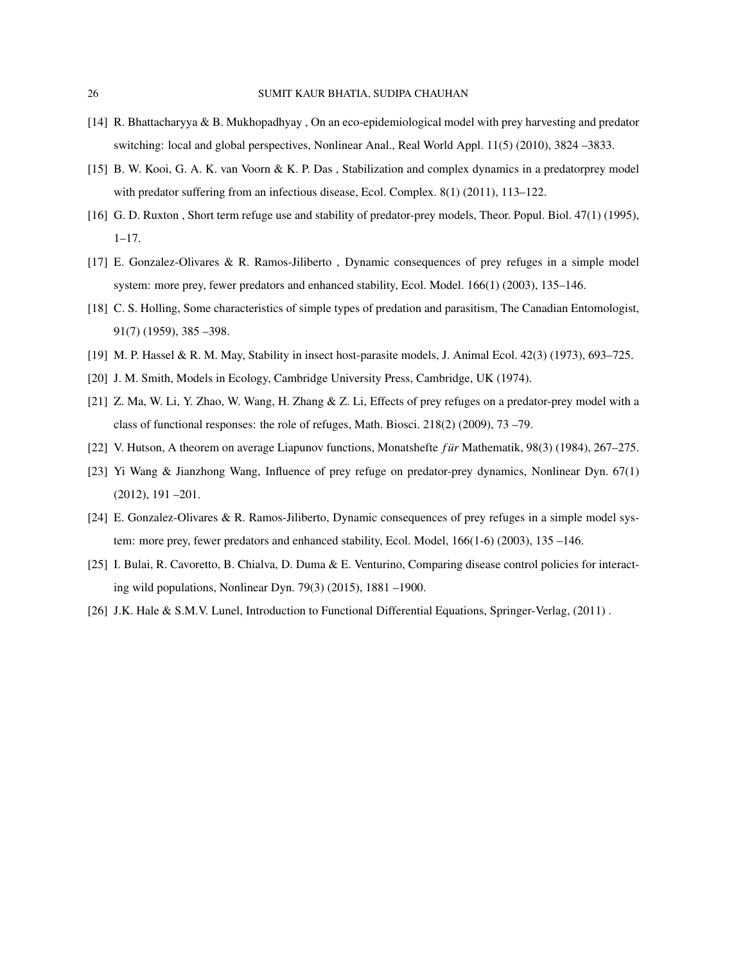- [14] R. Bhattacharyya & B. Mukhopadhyay , On an eco-epidemiological model with prey harvesting and predator switching: local and global perspectives, Nonlinear Anal., Real World Appl. 11(5) (2010), 3824 –3833.
- [15] B. W. Kooi, G. A. K. van Voorn & K. P. Das , Stabilization and complex dynamics in a predatorprey model with predator suffering from an infectious disease, Ecol. Complex. 8(1) (2011), 113–122.
- [16] G. D. Ruxton , Short term refuge use and stability of predator-prey models, Theor. Popul. Biol. 47(1) (1995),  $1-17.$
- [17] E. Gonzalez-Olivares & R. Ramos-Jiliberto , Dynamic consequences of prey refuges in a simple model system: more prey, fewer predators and enhanced stability, Ecol. Model. 166(1) (2003), 135–146.
- [18] C. S. Holling, Some characteristics of simple types of predation and parasitism, The Canadian Entomologist, 91(7) (1959), 385 –398.
- [19] M. P. Hassel & R. M. May, Stability in insect host-parasite models, J. Animal Ecol. 42(3) (1973), 693–725.
- [20] J. M. Smith, Models in Ecology, Cambridge University Press, Cambridge, UK (1974).
- [21] Z. Ma, W. Li, Y. Zhao, W. Wang, H. Zhang & Z. Li, Effects of prey refuges on a predator-prey model with a class of functional responses: the role of refuges, Math. Biosci. 218(2) (2009), 73 –79.
- [22] V. Hutson, A theorem on average Liapunov functions, Monatshefte *f ur*¨ Mathematik, 98(3) (1984), 267–275.
- [23] Yi Wang & Jianzhong Wang, Influence of prey refuge on predator-prey dynamics, Nonlinear Dyn. 67(1) (2012), 191 –201.
- [24] E. Gonzalez-Olivares & R. Ramos-Jiliberto, Dynamic consequences of prey refuges in a simple model system: more prey, fewer predators and enhanced stability, Ecol. Model, 166(1-6) (2003), 135 –146.
- [25] I. Bulai, R. Cavoretto, B. Chialva, D. Duma & E. Venturino, Comparing disease control policies for interacting wild populations, Nonlinear Dyn. 79(3) (2015), 1881 –1900.
- [26] J.K. Hale & S.M.V. Lunel, Introduction to Functional Differential Equations, Springer-Verlag, (2011) .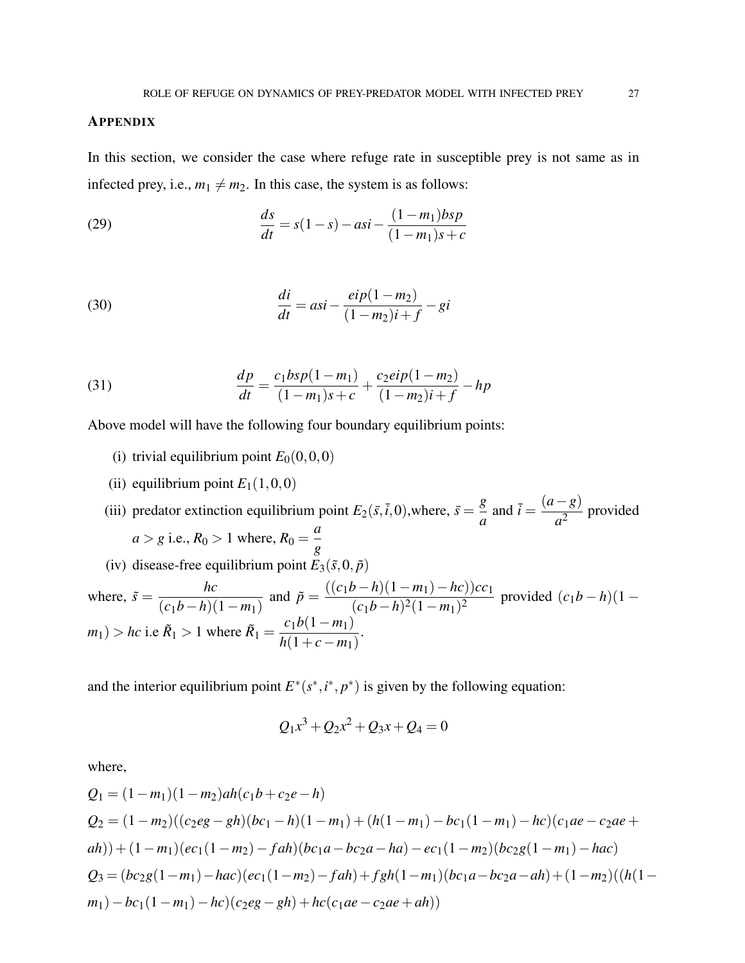#### APPENDIX

In this section, we consider the case where refuge rate in susceptible prey is not same as in infected prey, i.e.,  $m_1 \neq m_2$ . In this case, the system is as follows:

(29) 
$$
\frac{ds}{dt} = s(1-s) - asi - \frac{(1-m_1)bsp}{(1-m_1)s+c}
$$

(30) 
$$
\frac{di}{dt} = asi - \frac{eip(1 - m_2)}{(1 - m_2)i + f} - gi
$$

(31) 
$$
\frac{dp}{dt} = \frac{c_1 b s p (1 - m_1)}{(1 - m_1) s + c} + \frac{c_2 e i p (1 - m_2)}{(1 - m_2) i + f} - h p
$$

Above model will have the following four boundary equilibrium points:

- (i) trivial equilibrium point  $E_0(0,0,0)$
- (ii) equilibrium point  $E_1(1,0,0)$

(iii) predator extinction equilibrium point  $E_2(\bar{s}, \bar{t}, 0)$ , where,  $\bar{s} = \frac{g}{a}$  $\frac{g}{a}$  and  $\bar{i} = \frac{(a-g)}{a^2}$  $\frac{\delta}{a^2}$  provided  $a > g$  i.e.,  $R_0 > 1$  where,  $R_0 =$ *a g* (iv) disease-free equilibrium point  $E_3(\tilde{s},0,\tilde{p})$ where,  $\tilde{s} =$ *hc*  $(c_1b-h)(1-m_1)$ and  $\tilde{p} = \frac{((c_1b - h)(1 - m_1) - hc))cc_1}{(1 - h)(2(1 - h))^2}$  $\frac{(c_1b-h)^2(1-m_1)^2}{(m_1b-h)^2(1-m_1)^2}$  provided  $(c_1b-h)(1-m_1)^2$  $m_1$ ) > *hc* i.e  $\tilde{R}_1$  > 1 where  $\tilde{R}_1$  =  $c_1b(1 - m_1)$ *h*(1+*c*−*m*1) .

and the interior equilibrium point  $E^*(s^*, i^*, p^*)$  is given by the following equation:

$$
Q_1x^3 + Q_2x^2 + Q_3x + Q_4 = 0
$$

where,

$$
Q_1 = (1 - m_1)(1 - m_2)ah(c_1b + c_2e - h)
$$
  
\n
$$
Q_2 = (1 - m_2)((c_2eg - gh)(bc_1 - h)(1 - m_1) + (h(1 - m_1) - bc_1(1 - m_1) - hc)(c_1ae - c_2ae + ah)) + (1 - m_1)(ec_1(1 - m_2) - fah)(bc_1a - bc_2a - ha) - ec_1(1 - m_2)(bc_2g(1 - m_1) - hac)
$$
  
\n
$$
Q_3 = (bc_2g(1 - m_1) - hac)(ec_1(1 - m_2) - fah) + fgh(1 - m_1)(bc_1a - bc_2a - ah) + (1 - m_2)((h(1 - m_1) - bc_1(1 - m_1) - hc)(c_2eg - gh) + hc(c_1ae - c_2ae + ah))
$$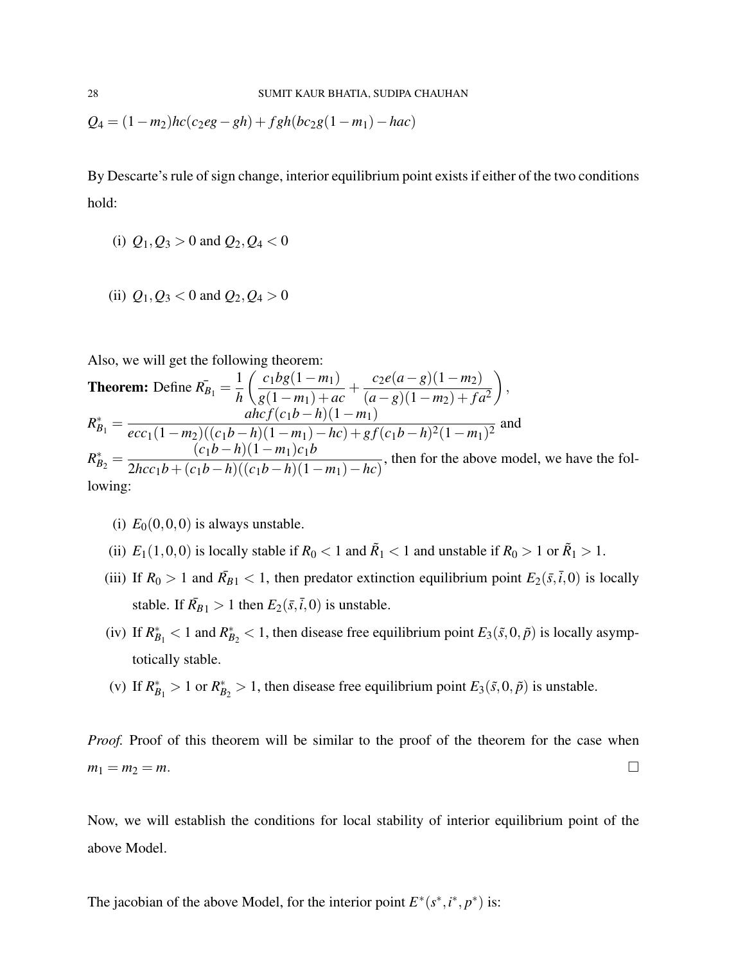$$
Q_4 = (1 - m_2)hc(c_2eg - gh) + fgh(bc_2g(1 - m_1) - hac)
$$

By Descarte's rule of sign change, interior equilibrium point exists if either of the two conditions hold:

- (i)  $Q_1, Q_3 > 0$  and  $Q_2, Q_4 < 0$
- (ii)  $Q_1, Q_3 < 0$  and  $Q_2, Q_4 > 0$

Also, we will get the following theorem:

**Theorem:** Define  $R_{B_1}^{\dagger} = \frac{1}{b_1}$ *h*  $\int c_1bg(1-m_1)$ *g*(1−*m*1) +*ac*  $+\frac{c_2e(a-g)(1-m_2)}{(1-c_2)(1-m_2)}$  $(a-g)(1-m_2) + fa^2$  $\setminus$ ,  $R_{B_1}^* =$  $\int (c_1 b - h)(1 - m_1)$  $\frac{arc_1(1-m_2)((c_1b-h)(1-m_1)-hc)+gf(c_1b-h)^2(1-m_1)^2}{(1-m_2)(c_1b-h)(1-m_1)-hc)+gf(c_1b-h)^2(1-m_1)^2}$  and  $R_{B_2}^* =$  $(c_1b-h)(1-m_1)c_1b$  $\frac{(c_1b_1b_1)(1-m_1)c_1b_2}{2hcc_1b+(c_1b-h)((c_1b-h)(1-m_1)-hc)},$  then for the above model, we have the following:

- (i)  $E_0(0,0,0)$  is always unstable.
- (ii)  $E_1(1,0,0)$  is locally stable if  $R_0 < 1$  and  $\tilde{R}_1 < 1$  and unstable if  $R_0 > 1$  or  $\tilde{R}_1 > 1$ .
- (iii) If  $R_0 > 1$  and  $\bar{R}_{B1} < 1$ , then predator extinction equilibrium point  $E_2(\bar{s}, \bar{t}, 0)$  is locally stable. If  $\bar{R}_{B1} > 1$  then  $E_2(\bar{s}, \bar{t}, 0)$  is unstable.
- (iv) If  $R_{B_1}^* < 1$  and  $R_{B_2}^* < 1$ , then disease free equilibrium point  $E_3(\tilde{s},0,\tilde{p})$  is locally asymptotically stable.
- (v) If  $R_{B_1}^* > 1$  or  $R_{B_2}^* > 1$ , then disease free equilibrium point  $E_3(\tilde{s},0,\tilde{p})$  is unstable.

*Proof.* Proof of this theorem will be similar to the proof of the theorem for the case when  $m_1 = m_2 = m$ .

Now, we will establish the conditions for local stability of interior equilibrium point of the above Model.

The jacobian of the above Model, for the interior point  $E^*(s^*, i^*, p^*)$  is: